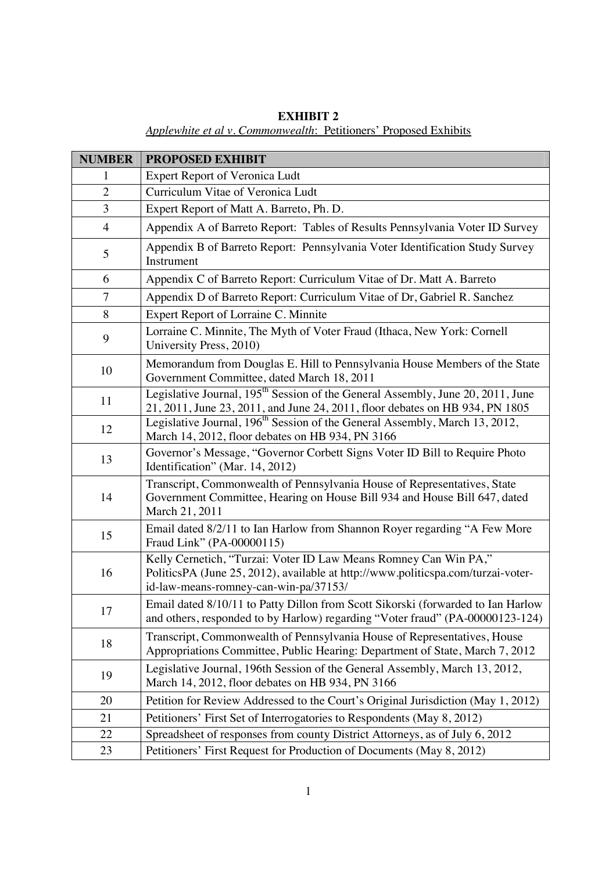| <b>EXHIBIT 2</b>                                                 |  |  |  |
|------------------------------------------------------------------|--|--|--|
| Applewhite et al v. Commonwealth: Petitioners' Proposed Exhibits |  |  |  |

| <b>NUMBER</b>  | <b>PROPOSED EXHIBIT</b>                                                                                                                                                                       |
|----------------|-----------------------------------------------------------------------------------------------------------------------------------------------------------------------------------------------|
| 1              | <b>Expert Report of Veronica Ludt</b>                                                                                                                                                         |
| $\overline{2}$ | Curriculum Vitae of Veronica Ludt                                                                                                                                                             |
| $\overline{3}$ | Expert Report of Matt A. Barreto, Ph. D.                                                                                                                                                      |
| $\overline{4}$ | Appendix A of Barreto Report: Tables of Results Pennsylvania Voter ID Survey                                                                                                                  |
| 5              | Appendix B of Barreto Report: Pennsylvania Voter Identification Study Survey<br>Instrument                                                                                                    |
| 6              | Appendix C of Barreto Report: Curriculum Vitae of Dr. Matt A. Barreto                                                                                                                         |
| 7              | Appendix D of Barreto Report: Curriculum Vitae of Dr, Gabriel R. Sanchez                                                                                                                      |
| 8              | Expert Report of Lorraine C. Minnite                                                                                                                                                          |
| 9              | Lorraine C. Minnite, The Myth of Voter Fraud (Ithaca, New York: Cornell<br>University Press, 2010)                                                                                            |
| 10             | Memorandum from Douglas E. Hill to Pennsylvania House Members of the State<br>Government Committee, dated March 18, 2011                                                                      |
| 11             | Legislative Journal, 195 <sup>th</sup> Session of the General Assembly, June 20, 2011, June<br>21, 2011, June 23, 2011, and June 24, 2011, floor debates on HB 934, PN 1805                   |
| 12             | Legislative Journal, 196 <sup>th</sup> Session of the General Assembly, March 13, 2012,<br>March 14, 2012, floor debates on HB 934, PN 3166                                                   |
| 13             | Governor's Message, "Governor Corbett Signs Voter ID Bill to Require Photo<br>Identification" (Mar. 14, 2012)                                                                                 |
| 14             | Transcript, Commonwealth of Pennsylvania House of Representatives, State<br>Government Committee, Hearing on House Bill 934 and House Bill 647, dated<br>March 21, 2011                       |
| 15             | Email dated 8/2/11 to Ian Harlow from Shannon Royer regarding "A Few More<br>Fraud Link" (PA-00000115)                                                                                        |
| 16             | Kelly Cernetich, "Turzai: Voter ID Law Means Romney Can Win PA,"<br>PoliticsPA (June 25, 2012), available at http://www.politicspa.com/turzai-voter-<br>id-law-means-romney-can-win-pa/37153/ |
| 17             | Email dated 8/10/11 to Patty Dillon from Scott Sikorski (forwarded to Ian Harlow<br>and others, responded to by Harlow) regarding "Voter fraud" (PA-00000123-124)                             |
| 18             | Transcript, Commonwealth of Pennsylvania House of Representatives, House<br>Appropriations Committee, Public Hearing: Department of State, March 7, 2012                                      |
| 19             | Legislative Journal, 196th Session of the General Assembly, March 13, 2012,<br>March 14, 2012, floor debates on HB 934, PN 3166                                                               |
| 20             | Petition for Review Addressed to the Court's Original Jurisdiction (May 1, 2012)                                                                                                              |
| 21             | Petitioners' First Set of Interrogatories to Respondents (May 8, 2012)                                                                                                                        |
| 22             | Spreadsheet of responses from county District Attorneys, as of July 6, 2012                                                                                                                   |
| 23             | Petitioners' First Request for Production of Documents (May 8, 2012)                                                                                                                          |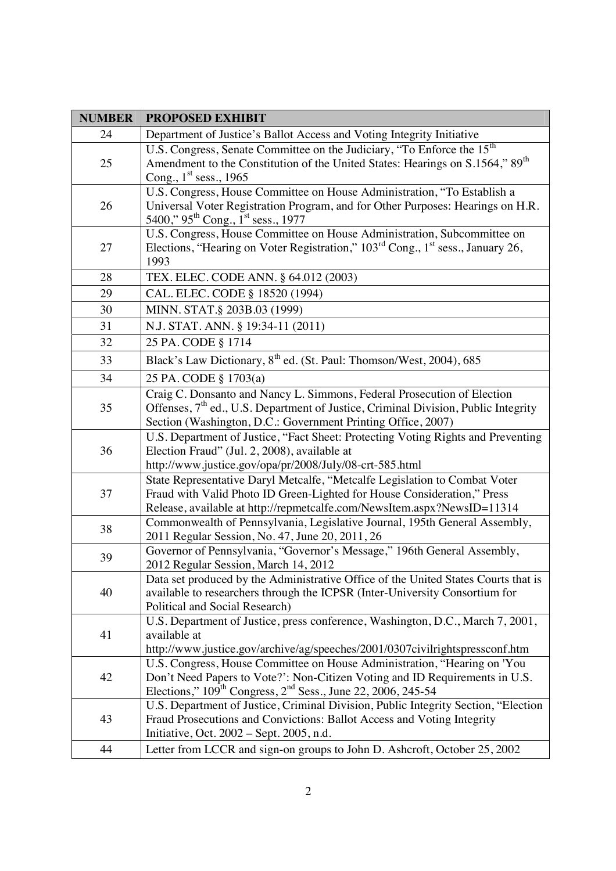| <b>NUMBER</b> | <b>PROPOSED EXHIBIT</b>                                                                                                                                                                                                                   |
|---------------|-------------------------------------------------------------------------------------------------------------------------------------------------------------------------------------------------------------------------------------------|
| 24            | Department of Justice's Ballot Access and Voting Integrity Initiative                                                                                                                                                                     |
| 25            | U.S. Congress, Senate Committee on the Judiciary, "To Enforce the 15 <sup>th</sup><br>Amendment to the Constitution of the United States: Hearings on S.1564," 89 <sup>th</sup><br>Cong., $1st$ sess., 1965                               |
| 26            | U.S. Congress, House Committee on House Administration, "To Establish a<br>Universal Voter Registration Program, and for Other Purposes: Hearings on H.R.<br>5400," 95 <sup>th</sup> Cong., 1 <sup>st</sup> sess., 1977                   |
| 27            | U.S. Congress, House Committee on House Administration, Subcommittee on<br>Elections, "Hearing on Voter Registration," 103 <sup>rd</sup> Cong., 1 <sup>st</sup> sess., January 26,<br>1993                                                |
| 28            | TEX. ELEC. CODE ANN. § 64.012 (2003)                                                                                                                                                                                                      |
| 29            | CAL. ELEC. CODE § 18520 (1994)                                                                                                                                                                                                            |
| 30            | MINN. STAT.§ 203B.03 (1999)                                                                                                                                                                                                               |
| 31            | N.J. STAT. ANN. § 19:34-11 (2011)                                                                                                                                                                                                         |
| 32            | 25 PA. CODE § 1714                                                                                                                                                                                                                        |
| 33            | Black's Law Dictionary, 8 <sup>th</sup> ed. (St. Paul: Thomson/West, 2004), 685                                                                                                                                                           |
| 34            | 25 PA. CODE § 1703(a)                                                                                                                                                                                                                     |
| 35            | Craig C. Donsanto and Nancy L. Simmons, Federal Prosecution of Election<br>Offenses, 7 <sup>th</sup> ed., U.S. Department of Justice, Criminal Division, Public Integrity<br>Section (Washington, D.C.: Government Printing Office, 2007) |
| 36            | U.S. Department of Justice, "Fact Sheet: Protecting Voting Rights and Preventing<br>Election Fraud" (Jul. 2, 2008), available at<br>http://www.justice.gov/opa/pr/2008/July/08-crt-585.html                                               |
| 37            | State Representative Daryl Metcalfe, "Metcalfe Legislation to Combat Voter<br>Fraud with Valid Photo ID Green-Lighted for House Consideration," Press<br>Release, available at http://repmetcalfe.com/NewsItem.aspx?NewsID=11314          |
| 38            | Commonwealth of Pennsylvania, Legislative Journal, 195th General Assembly,<br>2011 Regular Session, No. 47, June 20, 2011, 26                                                                                                             |
| 39            | Governor of Pennsylvania, "Governor's Message," 196th General Assembly,<br>2012 Regular Session, March 14, 2012                                                                                                                           |
| 40            | Data set produced by the Administrative Office of the United States Courts that is<br>available to researchers through the ICPSR (Inter-University Consortium for<br>Political and Social Research)                                       |
| 41            | U.S. Department of Justice, press conference, Washington, D.C., March 7, 2001,<br>available at<br>http://www.justice.gov/archive/ag/speeches/2001/0307civilrightspressconf.htm                                                            |
| 42            | U.S. Congress, House Committee on House Administration, "Hearing on 'You<br>Don't Need Papers to Vote?': Non-Citizen Voting and ID Requirements in U.S.<br>Elections," $109th Congress, 2nd Sess., June 22, 2006, 245-54$                 |
| 43            | U.S. Department of Justice, Criminal Division, Public Integrity Section, "Election<br>Fraud Prosecutions and Convictions: Ballot Access and Voting Integrity<br>Initiative, Oct. $2002$ – Sept. $2005$ , n.d.                             |
| 44            | Letter from LCCR and sign-on groups to John D. Ashcroft, October 25, 2002                                                                                                                                                                 |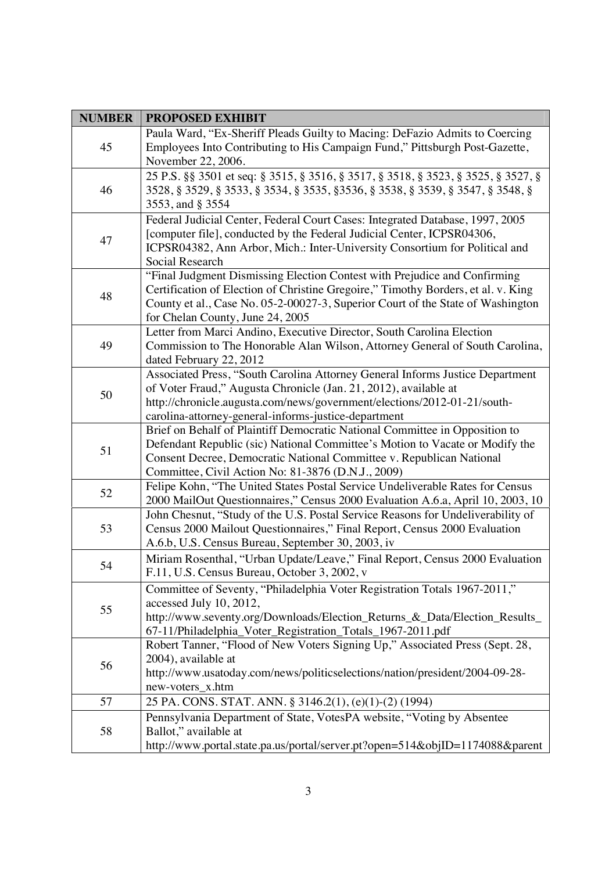| <b>NUMBER</b> | <b>PROPOSED EXHIBIT</b>                                                                                                                    |
|---------------|--------------------------------------------------------------------------------------------------------------------------------------------|
| 45            | Paula Ward, "Ex-Sheriff Pleads Guilty to Macing: DeFazio Admits to Coercing                                                                |
|               | Employees Into Contributing to His Campaign Fund," Pittsburgh Post-Gazette,                                                                |
|               | November 22, 2006.                                                                                                                         |
| 46            | 25 P.S. §§ 3501 et seq: § 3515, § 3516, § 3517, § 3518, § 3523, § 3525, § 3527, §                                                          |
|               | 3528, § 3529, § 3533, § 3534, § 3535, § 3536, § 3538, § 3539, § 3547, § 3548, §                                                            |
|               | 3553, and § 3554                                                                                                                           |
|               | Federal Judicial Center, Federal Court Cases: Integrated Database, 1997, 2005                                                              |
|               | [computer file], conducted by the Federal Judicial Center, ICPSR04306,                                                                     |
| 47            | ICPSR04382, Ann Arbor, Mich.: Inter-University Consortium for Political and                                                                |
|               | Social Research                                                                                                                            |
|               | "Final Judgment Dismissing Election Contest with Prejudice and Confirming                                                                  |
| 48            | Certification of Election of Christine Gregoire," Timothy Borders, et al. v. King                                                          |
|               | County et al., Case No. 05-2-00027-3, Superior Court of the State of Washington                                                            |
|               | for Chelan County, June 24, 2005                                                                                                           |
|               | Letter from Marci Andino, Executive Director, South Carolina Election                                                                      |
| 49            | Commission to The Honorable Alan Wilson, Attorney General of South Carolina,                                                               |
|               | dated February 22, 2012                                                                                                                    |
|               | Associated Press, "South Carolina Attorney General Informs Justice Department                                                              |
| 50            | of Voter Fraud," Augusta Chronicle (Jan. 21, 2012), available at                                                                           |
|               | http://chronicle.augusta.com/news/government/elections/2012-01-21/south-                                                                   |
|               | carolina-attorney-general-informs-justice-department                                                                                       |
|               | Brief on Behalf of Plaintiff Democratic National Committee in Opposition to                                                                |
| 51            | Defendant Republic (sic) National Committee's Motion to Vacate or Modify the                                                               |
|               | Consent Decree, Democratic National Committee v. Republican National                                                                       |
|               | Committee, Civil Action No: 81-3876 (D.N.J., 2009)                                                                                         |
| 52            | Felipe Kohn, "The United States Postal Service Undeliverable Rates for Census                                                              |
|               | 2000 MailOut Questionnaires," Census 2000 Evaluation A.6.a, April 10, 2003, 10                                                             |
| 53            | John Chesnut, "Study of the U.S. Postal Service Reasons for Undeliverability of                                                            |
|               | Census 2000 Mailout Questionnaires," Final Report, Census 2000 Evaluation<br>A.6.b, U.S. Census Bureau, September 30, 2003, iv             |
|               |                                                                                                                                            |
| 54            | Miriam Rosenthal, "Urban Update/Leave," Final Report, Census 2000 Evaluation                                                               |
|               | F.11, U.S. Census Bureau, October 3, 2002, v                                                                                               |
|               | Committee of Seventy, "Philadelphia Voter Registration Totals 1967-2011,"                                                                  |
| 55            | accessed July 10, 2012,                                                                                                                    |
|               | http://www.seventy.org/Downloads/Election_Returns_&_Data/Election_Results_                                                                 |
|               | 67-11/Philadelphia_Voter_Registration_Totals_1967-2011.pdf<br>Robert Tanner, "Flood of New Voters Signing Up," Associated Press (Sept. 28, |
| 56            | 2004), available at                                                                                                                        |
|               | http://www.usatoday.com/news/politicselections/nation/president/2004-09-28-                                                                |
|               | new-voters_x.htm                                                                                                                           |
| 57            | 25 PA. CONS. STAT. ANN. § 3146.2(1), (e)(1)-(2) (1994)                                                                                     |
|               | Pennsylvania Department of State, VotesPA website, "Voting by Absentee                                                                     |
| 58            | Ballot," available at                                                                                                                      |
|               | http://www.portal.state.pa.us/portal/server.pt?open=514&objID=1174088&parent                                                               |
|               |                                                                                                                                            |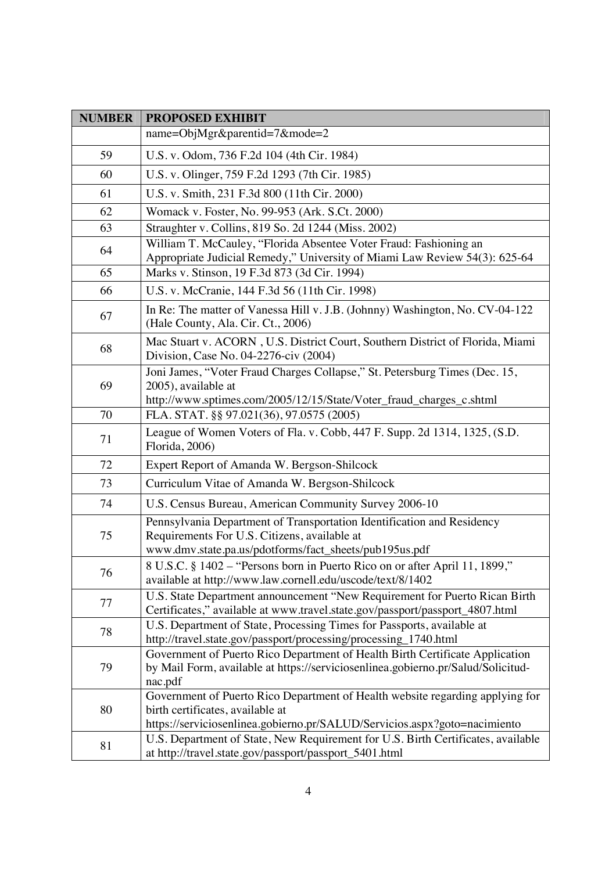| <b>NUMBER</b> | <b>PROPOSED EXHIBIT</b>                                                                                                                                                                        |
|---------------|------------------------------------------------------------------------------------------------------------------------------------------------------------------------------------------------|
|               | name=ObjMgr&parentid=7&mode=2                                                                                                                                                                  |
| 59            | U.S. v. Odom, 736 F.2d 104 (4th Cir. 1984)                                                                                                                                                     |
| 60            | U.S. v. Olinger, 759 F.2d 1293 (7th Cir. 1985)                                                                                                                                                 |
| 61            | U.S. v. Smith, 231 F.3d 800 (11th Cir. 2000)                                                                                                                                                   |
| 62            | Womack v. Foster, No. 99-953 (Ark. S.Ct. 2000)                                                                                                                                                 |
| 63            | Straughter v. Collins, 819 So. 2d 1244 (Miss. 2002)                                                                                                                                            |
| 64            | William T. McCauley, "Florida Absentee Voter Fraud: Fashioning an<br>Appropriate Judicial Remedy," University of Miami Law Review 54(3): 625-64                                                |
| 65            | Marks v. Stinson, 19 F.3d 873 (3d Cir. 1994)                                                                                                                                                   |
| 66            | U.S. v. McCranie, 144 F.3d 56 (11th Cir. 1998)                                                                                                                                                 |
| 67            | In Re: The matter of Vanessa Hill v. J.B. (Johnny) Washington, No. CV-04-122<br>(Hale County, Ala. Cir. Ct., 2006)                                                                             |
| 68            | Mac Stuart v. ACORN, U.S. District Court, Southern District of Florida, Miami<br>Division, Case No. 04-2276-civ (2004)                                                                         |
| 69            | Joni James, "Voter Fraud Charges Collapse," St. Petersburg Times (Dec. 15,<br>2005), available at<br>http://www.sptimes.com/2005/12/15/State/Voter_fraud_charges_c.shtml                       |
| 70            | FLA. STAT. §§ 97.021(36), 97.0575 (2005)                                                                                                                                                       |
| 71            | League of Women Voters of Fla. v. Cobb, 447 F. Supp. 2d 1314, 1325, (S.D.<br>Florida, 2006)                                                                                                    |
| 72            | Expert Report of Amanda W. Bergson-Shilcock                                                                                                                                                    |
| 73            | Curriculum Vitae of Amanda W. Bergson-Shilcock                                                                                                                                                 |
| 74            | U.S. Census Bureau, American Community Survey 2006-10                                                                                                                                          |
| 75            | Pennsylvania Department of Transportation Identification and Residency<br>Requirements For U.S. Citizens, available at<br>www.dmv.state.pa.us/pdotforms/fact_sheets/pub195us.pdf               |
| 76            | 8 U.S.C. § 1402 – "Persons born in Puerto Rico on or after April 11, 1899,"<br>available at http://www.law.cornell.edu/uscode/text/8/1402                                                      |
| 77            | U.S. State Department announcement "New Requirement for Puerto Rican Birth<br>Certificates," available at www.travel.state.gov/passport/passport_4807.html                                     |
| 78            | U.S. Department of State, Processing Times for Passports, available at<br>http://travel.state.gov/passport/processing/processing_1740.html                                                     |
| 79            | Government of Puerto Rico Department of Health Birth Certificate Application<br>by Mail Form, available at https://serviciosenlinea.gobierno.pr/Salud/Solicitud-<br>nac.pdf                    |
| 80            | Government of Puerto Rico Department of Health website regarding applying for<br>birth certificates, available at<br>https://serviciosenlinea.gobierno.pr/SALUD/Servicios.aspx?goto=nacimiento |
| 81            | U.S. Department of State, New Requirement for U.S. Birth Certificates, available<br>at http://travel.state.gov/passport/passport_5401.html                                                     |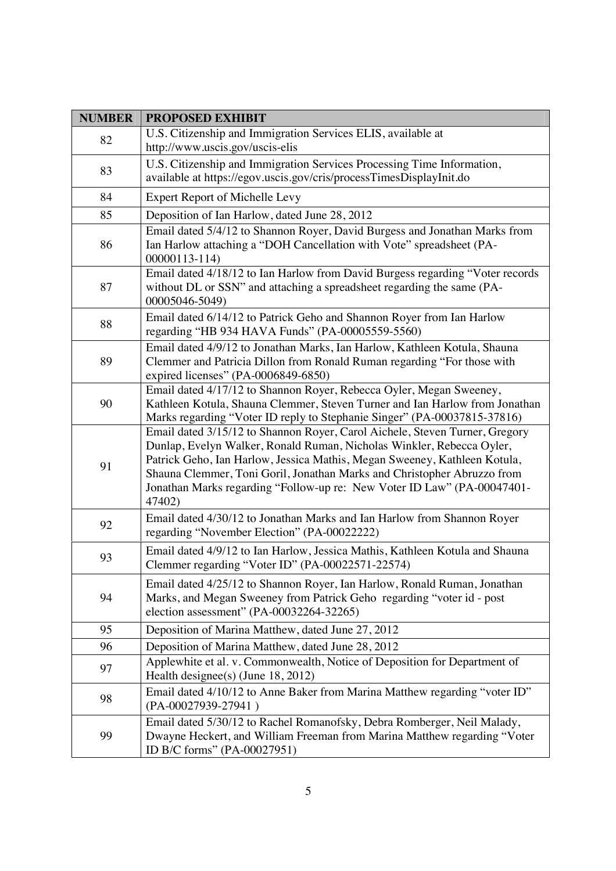| <b>NUMBER</b> | <b>PROPOSED EXHIBIT</b>                                                                                                                                                                                                                                                                                                                                                                           |
|---------------|---------------------------------------------------------------------------------------------------------------------------------------------------------------------------------------------------------------------------------------------------------------------------------------------------------------------------------------------------------------------------------------------------|
| 82            | U.S. Citizenship and Immigration Services ELIS, available at<br>http://www.uscis.gov/uscis-elis                                                                                                                                                                                                                                                                                                   |
| 83            | U.S. Citizenship and Immigration Services Processing Time Information,<br>available at https://egov.uscis.gov/cris/processTimesDisplayInit.do                                                                                                                                                                                                                                                     |
| 84            | <b>Expert Report of Michelle Levy</b>                                                                                                                                                                                                                                                                                                                                                             |
| 85            | Deposition of Ian Harlow, dated June 28, 2012                                                                                                                                                                                                                                                                                                                                                     |
| 86            | Email dated 5/4/12 to Shannon Royer, David Burgess and Jonathan Marks from<br>Ian Harlow attaching a "DOH Cancellation with Vote" spreadsheet (PA-<br>00000113-114)                                                                                                                                                                                                                               |
| 87            | Email dated 4/18/12 to Ian Harlow from David Burgess regarding "Voter records<br>without DL or SSN" and attaching a spreadsheet regarding the same (PA-<br>00005046-5049)                                                                                                                                                                                                                         |
| 88            | Email dated 6/14/12 to Patrick Geho and Shannon Royer from Ian Harlow<br>regarding "HB 934 HAVA Funds" (PA-00005559-5560)                                                                                                                                                                                                                                                                         |
| 89            | Email dated 4/9/12 to Jonathan Marks, Ian Harlow, Kathleen Kotula, Shauna<br>Clemmer and Patricia Dillon from Ronald Ruman regarding "For those with<br>expired licenses" (PA-0006849-6850)                                                                                                                                                                                                       |
| 90            | Email dated 4/17/12 to Shannon Royer, Rebecca Oyler, Megan Sweeney,<br>Kathleen Kotula, Shauna Clemmer, Steven Turner and Ian Harlow from Jonathan<br>Marks regarding "Voter ID reply to Stephanie Singer" (PA-00037815-37816)                                                                                                                                                                    |
| 91            | Email dated 3/15/12 to Shannon Royer, Carol Aichele, Steven Turner, Gregory<br>Dunlap, Evelyn Walker, Ronald Ruman, Nicholas Winkler, Rebecca Oyler,<br>Patrick Geho, Ian Harlow, Jessica Mathis, Megan Sweeney, Kathleen Kotula,<br>Shauna Clemmer, Toni Goril, Jonathan Marks and Christopher Abruzzo from<br>Jonathan Marks regarding "Follow-up re: New Voter ID Law" (PA-00047401-<br>47402) |
| 92            | Email dated 4/30/12 to Jonathan Marks and Ian Harlow from Shannon Royer<br>regarding "November Election" (PA-00022222)                                                                                                                                                                                                                                                                            |
| 93            | Email dated 4/9/12 to Ian Harlow, Jessica Mathis, Kathleen Kotula and Shauna<br>Clemmer regarding "Voter ID" (PA-00022571-22574)                                                                                                                                                                                                                                                                  |
| 94            | Email dated 4/25/12 to Shannon Royer, Ian Harlow, Ronald Ruman, Jonathan<br>Marks, and Megan Sweeney from Patrick Geho regarding "voter id - post<br>election assessment" (PA-00032264-32265)                                                                                                                                                                                                     |
| 95            | Deposition of Marina Matthew, dated June 27, 2012                                                                                                                                                                                                                                                                                                                                                 |
| 96            | Deposition of Marina Matthew, dated June 28, 2012                                                                                                                                                                                                                                                                                                                                                 |
| 97            | Applewhite et al. v. Commonwealth, Notice of Deposition for Department of<br>Health designee(s) (June $18, 2012$ )                                                                                                                                                                                                                                                                                |
| 98            | Email dated 4/10/12 to Anne Baker from Marina Matthew regarding "voter ID"<br>(PA-00027939-27941)                                                                                                                                                                                                                                                                                                 |
| 99            | Email dated 5/30/12 to Rachel Romanofsky, Debra Romberger, Neil Malady,<br>Dwayne Heckert, and William Freeman from Marina Matthew regarding "Voter<br>ID B/C forms" (PA-00027951)                                                                                                                                                                                                                |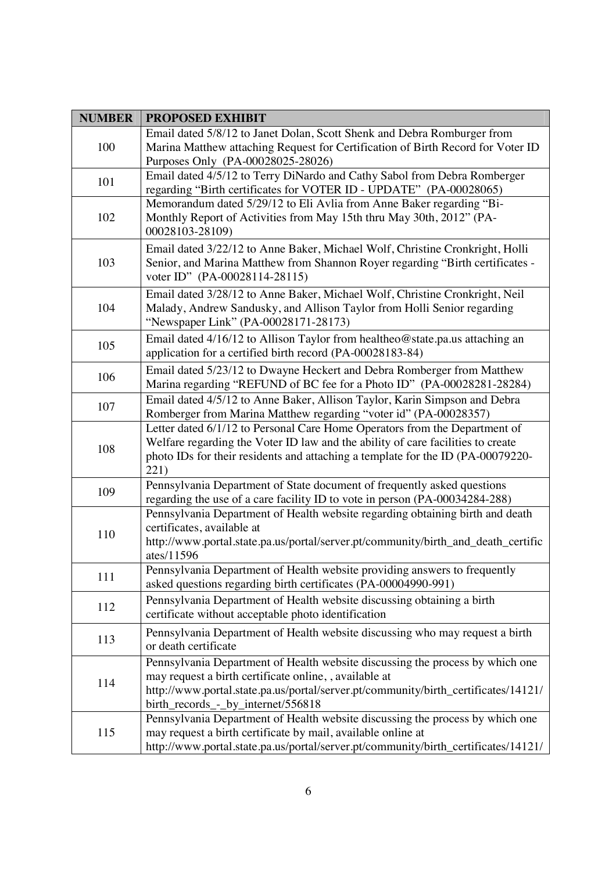| <b>NUMBER</b> | <b>PROPOSED EXHIBIT</b>                                                                                                                                                                                                                                             |
|---------------|---------------------------------------------------------------------------------------------------------------------------------------------------------------------------------------------------------------------------------------------------------------------|
| 100           | Email dated 5/8/12 to Janet Dolan, Scott Shenk and Debra Romburger from<br>Marina Matthew attaching Request for Certification of Birth Record for Voter ID<br>Purposes Only (PA-00028025-28026)                                                                     |
| 101           | Email dated 4/5/12 to Terry DiNardo and Cathy Sabol from Debra Romberger<br>regarding "Birth certificates for VOTER ID - UPDATE" (PA-00028065)                                                                                                                      |
| 102           | Memorandum dated 5/29/12 to Eli Avlia from Anne Baker regarding "Bi-<br>Monthly Report of Activities from May 15th thru May 30th, 2012" (PA-<br>00028103-28109)                                                                                                     |
| 103           | Email dated 3/22/12 to Anne Baker, Michael Wolf, Christine Cronkright, Holli<br>Senior, and Marina Matthew from Shannon Royer regarding "Birth certificates -<br>voter ID" (PA-00028114-28115)                                                                      |
| 104           | Email dated 3/28/12 to Anne Baker, Michael Wolf, Christine Cronkright, Neil<br>Malady, Andrew Sandusky, and Allison Taylor from Holli Senior regarding<br>"Newspaper Link" (PA-00028171-28173)                                                                      |
| 105           | Email dated 4/16/12 to Allison Taylor from healtheo@state.pa.us attaching an<br>application for a certified birth record (PA-00028183-84)                                                                                                                           |
| 106           | Email dated 5/23/12 to Dwayne Heckert and Debra Romberger from Matthew<br>Marina regarding "REFUND of BC fee for a Photo ID" (PA-00028281-28284)                                                                                                                    |
| 107           | Email dated 4/5/12 to Anne Baker, Allison Taylor, Karin Simpson and Debra<br>Romberger from Marina Matthew regarding "voter id" (PA-00028357)                                                                                                                       |
| 108           | Letter dated 6/1/12 to Personal Care Home Operators from the Department of<br>Welfare regarding the Voter ID law and the ability of care facilities to create<br>photo IDs for their residents and attaching a template for the ID (PA-00079220-<br>221)            |
| 109           | Pennsylvania Department of State document of frequently asked questions<br>regarding the use of a care facility ID to vote in person (PA-00034284-288)                                                                                                              |
| 110           | Pennsylvania Department of Health website regarding obtaining birth and death<br>certificates, available at<br>http://www.portal.state.pa.us/portal/server.pt/community/birth_and_death_certific<br>ates/11596                                                      |
| 111           | Pennsylvania Department of Health website providing answers to frequently<br>asked questions regarding birth certificates (PA-00004990-991)                                                                                                                         |
| 112           | Pennsylvania Department of Health website discussing obtaining a birth<br>certificate without acceptable photo identification                                                                                                                                       |
| 113           | Pennsylvania Department of Health website discussing who may request a birth<br>or death certificate                                                                                                                                                                |
| 114           | Pennsylvania Department of Health website discussing the process by which one<br>may request a birth certificate online, , available at<br>http://www.portal.state.pa.us/portal/server.pt/community/birth_certificates/14121/<br>birth_records_-_by_internet/556818 |
| 115           | Pennsylvania Department of Health website discussing the process by which one<br>may request a birth certificate by mail, available online at<br>http://www.portal.state.pa.us/portal/server.pt/community/birth_certificates/14121/                                 |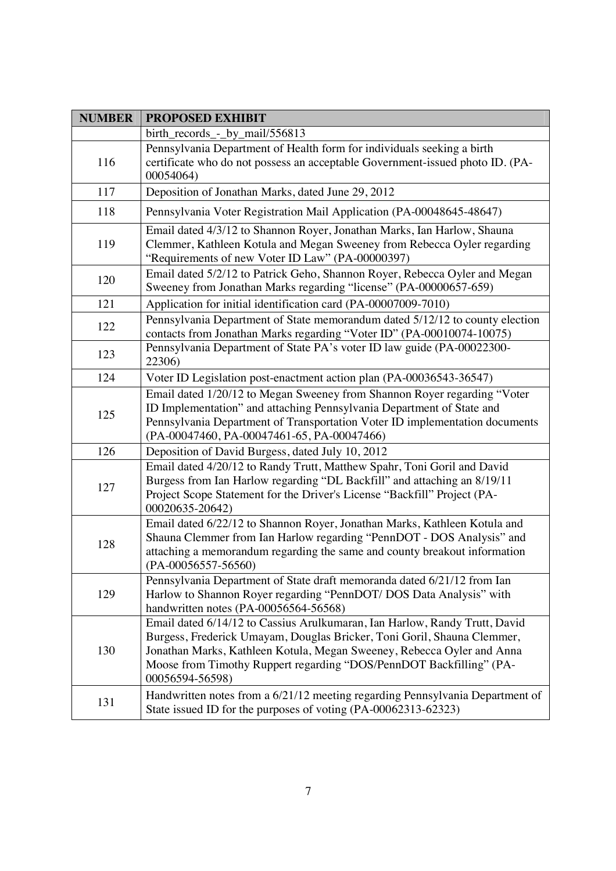| <b>NUMBER</b> | <b>PROPOSED EXHIBIT</b>                                                                                                                                                                                                                                                                                                   |
|---------------|---------------------------------------------------------------------------------------------------------------------------------------------------------------------------------------------------------------------------------------------------------------------------------------------------------------------------|
|               | birth_records_-_by_mail/556813                                                                                                                                                                                                                                                                                            |
| 116           | Pennsylvania Department of Health form for individuals seeking a birth<br>certificate who do not possess an acceptable Government-issued photo ID. (PA-<br>00054064)                                                                                                                                                      |
| 117           | Deposition of Jonathan Marks, dated June 29, 2012                                                                                                                                                                                                                                                                         |
| 118           | Pennsylvania Voter Registration Mail Application (PA-00048645-48647)                                                                                                                                                                                                                                                      |
| 119           | Email dated 4/3/12 to Shannon Royer, Jonathan Marks, Ian Harlow, Shauna<br>Clemmer, Kathleen Kotula and Megan Sweeney from Rebecca Oyler regarding<br>"Requirements of new Voter ID Law" (PA-00000397)                                                                                                                    |
| 120           | Email dated 5/2/12 to Patrick Geho, Shannon Royer, Rebecca Oyler and Megan<br>Sweeney from Jonathan Marks regarding "license" (PA-00000657-659)                                                                                                                                                                           |
| 121           | Application for initial identification card (PA-00007009-7010)                                                                                                                                                                                                                                                            |
| 122           | Pennsylvania Department of State memorandum dated 5/12/12 to county election<br>contacts from Jonathan Marks regarding "Voter ID" (PA-00010074-10075)                                                                                                                                                                     |
| 123           | Pennsylvania Department of State PA's voter ID law guide (PA-00022300-<br>22306)                                                                                                                                                                                                                                          |
| 124           | Voter ID Legislation post-enactment action plan (PA-00036543-36547)                                                                                                                                                                                                                                                       |
| 125           | Email dated 1/20/12 to Megan Sweeney from Shannon Royer regarding "Voter<br>ID Implementation" and attaching Pennsylvania Department of State and<br>Pennsylvania Department of Transportation Voter ID implementation documents<br>(PA-00047460, PA-00047461-65, PA-00047466)                                            |
| 126           | Deposition of David Burgess, dated July 10, 2012                                                                                                                                                                                                                                                                          |
| 127           | Email dated 4/20/12 to Randy Trutt, Matthew Spahr, Toni Goril and David<br>Burgess from Ian Harlow regarding "DL Backfill" and attaching an 8/19/11<br>Project Scope Statement for the Driver's License "Backfill" Project (PA-<br>00020635-20642)                                                                        |
| 128           | Email dated 6/22/12 to Shannon Royer, Jonathan Marks, Kathleen Kotula and<br>Shauna Clemmer from Ian Harlow regarding "PennDOT - DOS Analysis" and<br>attaching a memorandum regarding the same and county breakout information<br>$(PA-00056557-56560)$                                                                  |
| 129           | Pennsylvania Department of State draft memoranda dated 6/21/12 from Ian<br>Harlow to Shannon Royer regarding "PennDOT/ DOS Data Analysis" with<br>handwritten notes (PA-00056564-56568)                                                                                                                                   |
| 130           | Email dated 6/14/12 to Cassius Arulkumaran, Ian Harlow, Randy Trutt, David<br>Burgess, Frederick Umayam, Douglas Bricker, Toni Goril, Shauna Clemmer,<br>Jonathan Marks, Kathleen Kotula, Megan Sweeney, Rebecca Oyler and Anna<br>Moose from Timothy Ruppert regarding "DOS/PennDOT Backfilling" (PA-<br>00056594-56598) |
| 131           | Handwritten notes from a 6/21/12 meeting regarding Pennsylvania Department of<br>State issued ID for the purposes of voting (PA-00062313-62323)                                                                                                                                                                           |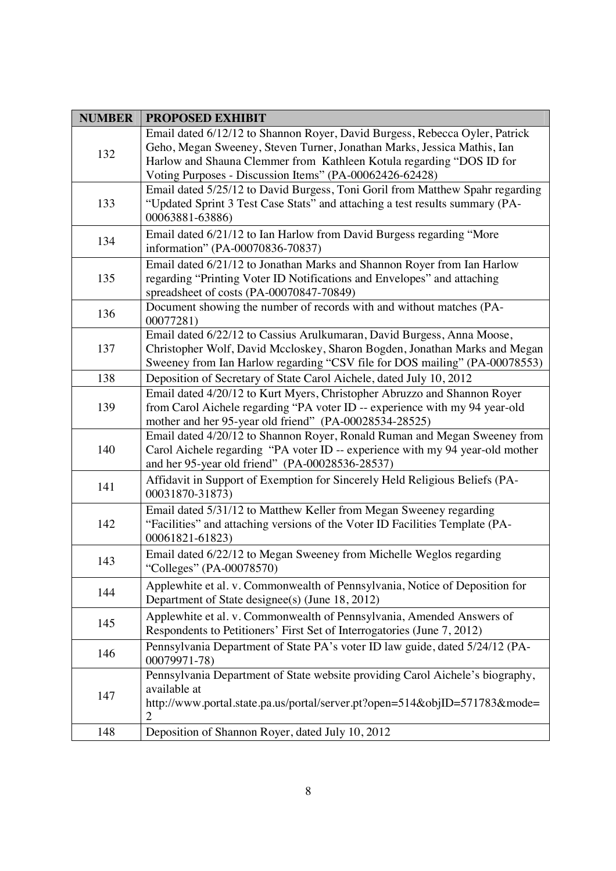| <b>NUMBER</b> | <b>PROPOSED EXHIBIT</b>                                                                                                                                                                                                                                                                   |
|---------------|-------------------------------------------------------------------------------------------------------------------------------------------------------------------------------------------------------------------------------------------------------------------------------------------|
| 132           | Email dated 6/12/12 to Shannon Royer, David Burgess, Rebecca Oyler, Patrick<br>Geho, Megan Sweeney, Steven Turner, Jonathan Marks, Jessica Mathis, Ian<br>Harlow and Shauna Clemmer from Kathleen Kotula regarding "DOS ID for<br>Voting Purposes - Discussion Items" (PA-00062426-62428) |
| 133           | Email dated 5/25/12 to David Burgess, Toni Goril from Matthew Spahr regarding<br>"Updated Sprint 3 Test Case Stats" and attaching a test results summary (PA-<br>00063881-63886)                                                                                                          |
| 134           | Email dated 6/21/12 to Ian Harlow from David Burgess regarding "More<br>information" (PA-00070836-70837)                                                                                                                                                                                  |
| 135           | Email dated 6/21/12 to Jonathan Marks and Shannon Royer from Ian Harlow<br>regarding "Printing Voter ID Notifications and Envelopes" and attaching<br>spreadsheet of costs (PA-00070847-70849)                                                                                            |
| 136           | Document showing the number of records with and without matches (PA-<br>00077281)                                                                                                                                                                                                         |
| 137           | Email dated 6/22/12 to Cassius Arulkumaran, David Burgess, Anna Moose,<br>Christopher Wolf, David Mccloskey, Sharon Bogden, Jonathan Marks and Megan<br>Sweeney from Ian Harlow regarding "CSV file for DOS mailing" (PA-00078553)                                                        |
| 138           | Deposition of Secretary of State Carol Aichele, dated July 10, 2012                                                                                                                                                                                                                       |
| 139           | Email dated 4/20/12 to Kurt Myers, Christopher Abruzzo and Shannon Royer<br>from Carol Aichele regarding "PA voter ID -- experience with my 94 year-old<br>mother and her 95-year old friend" (PA-00028534-28525)                                                                         |
| 140           | Email dated 4/20/12 to Shannon Royer, Ronald Ruman and Megan Sweeney from<br>Carol Aichele regarding "PA voter ID -- experience with my 94 year-old mother<br>and her 95-year old friend" (PA-00028536-28537)                                                                             |
| 141           | Affidavit in Support of Exemption for Sincerely Held Religious Beliefs (PA-<br>00031870-31873)                                                                                                                                                                                            |
| 142           | Email dated 5/31/12 to Matthew Keller from Megan Sweeney regarding<br>"Facilities" and attaching versions of the Voter ID Facilities Template (PA-<br>00061821-61823)                                                                                                                     |
| 143           | Email dated 6/22/12 to Megan Sweeney from Michelle Weglos regarding<br>"Colleges" (PA-00078570)                                                                                                                                                                                           |
| 144           | Applewhite et al. v. Commonwealth of Pennsylvania, Notice of Deposition for<br>Department of State designee(s) (June 18, 2012)                                                                                                                                                            |
| 145           | Applewhite et al. v. Commonwealth of Pennsylvania, Amended Answers of<br>Respondents to Petitioners' First Set of Interrogatories (June 7, 2012)                                                                                                                                          |
| 146           | Pennsylvania Department of State PA's voter ID law guide, dated 5/24/12 (PA-<br>00079971-78)                                                                                                                                                                                              |
| 147           | Pennsylvania Department of State website providing Carol Aichele's biography,<br>available at<br>http://www.portal.state.pa.us/portal/server.pt?open=514&objID=571783&mode=<br>$\overline{2}$                                                                                             |
| 148           | Deposition of Shannon Royer, dated July 10, 2012                                                                                                                                                                                                                                          |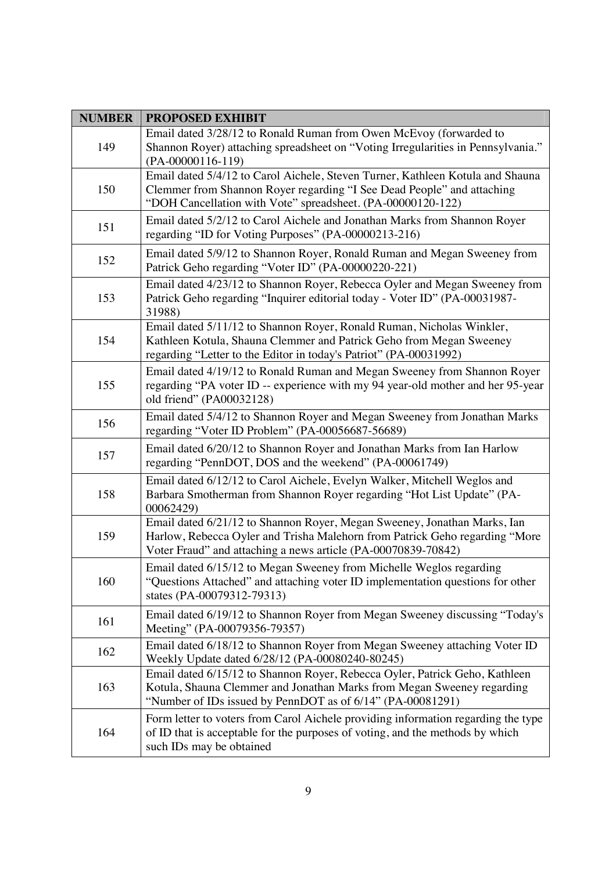| <b>NUMBER</b> | <b>PROPOSED EXHIBIT</b>                                                                                                                                                                                                  |
|---------------|--------------------------------------------------------------------------------------------------------------------------------------------------------------------------------------------------------------------------|
| 149           | Email dated 3/28/12 to Ronald Ruman from Owen McEvoy (forwarded to<br>Shannon Royer) attaching spreadsheet on "Voting Irregularities in Pennsylvania."<br>$(PA-00000116-119)$                                            |
| 150           | Email dated 5/4/12 to Carol Aichele, Steven Turner, Kathleen Kotula and Shauna<br>Clemmer from Shannon Royer regarding "I See Dead People" and attaching<br>"DOH Cancellation with Vote" spreadsheet. (PA-00000120-122)  |
| 151           | Email dated 5/2/12 to Carol Aichele and Jonathan Marks from Shannon Royer<br>regarding "ID for Voting Purposes" (PA-00000213-216)                                                                                        |
| 152           | Email dated 5/9/12 to Shannon Royer, Ronald Ruman and Megan Sweeney from<br>Patrick Geho regarding "Voter ID" (PA-00000220-221)                                                                                          |
| 153           | Email dated 4/23/12 to Shannon Royer, Rebecca Oyler and Megan Sweeney from<br>Patrick Geho regarding "Inquirer editorial today - Voter ID" (PA-00031987-<br>31988)                                                       |
| 154           | Email dated 5/11/12 to Shannon Royer, Ronald Ruman, Nicholas Winkler,<br>Kathleen Kotula, Shauna Clemmer and Patrick Geho from Megan Sweeney<br>regarding "Letter to the Editor in today's Patriot" (PA-00031992)        |
| 155           | Email dated 4/19/12 to Ronald Ruman and Megan Sweeney from Shannon Royer<br>regarding "PA voter ID -- experience with my 94 year-old mother and her 95-year<br>old friend" (PA00032128)                                  |
| 156           | Email dated 5/4/12 to Shannon Royer and Megan Sweeney from Jonathan Marks<br>regarding "Voter ID Problem" (PA-00056687-56689)                                                                                            |
| 157           | Email dated 6/20/12 to Shannon Royer and Jonathan Marks from Ian Harlow<br>regarding "PennDOT, DOS and the weekend" (PA-00061749)                                                                                        |
| 158           | Email dated 6/12/12 to Carol Aichele, Evelyn Walker, Mitchell Weglos and<br>Barbara Smotherman from Shannon Royer regarding "Hot List Update" (PA-<br>00062429)                                                          |
| 159           | Email dated 6/21/12 to Shannon Royer, Megan Sweeney, Jonathan Marks, Ian<br>Harlow, Rebecca Oyler and Trisha Malehorn from Patrick Geho regarding "More<br>Voter Fraud" and attaching a news article (PA-00070839-70842) |
| 160           | Email dated 6/15/12 to Megan Sweeney from Michelle Weglos regarding<br>"Questions Attached" and attaching voter ID implementation questions for other<br>states (PA-00079312-79313)                                      |
| 161           | Email dated 6/19/12 to Shannon Royer from Megan Sweeney discussing "Today's<br>Meeting" (PA-00079356-79357)                                                                                                              |
| 162           | Email dated 6/18/12 to Shannon Royer from Megan Sweeney attaching Voter ID<br>Weekly Update dated 6/28/12 (PA-00080240-80245)                                                                                            |
| 163           | Email dated 6/15/12 to Shannon Royer, Rebecca Oyler, Patrick Geho, Kathleen<br>Kotula, Shauna Clemmer and Jonathan Marks from Megan Sweeney regarding<br>"Number of IDs issued by PennDOT as of 6/14" (PA-00081291)      |
| 164           | Form letter to voters from Carol Aichele providing information regarding the type<br>of ID that is acceptable for the purposes of voting, and the methods by which<br>such IDs may be obtained                           |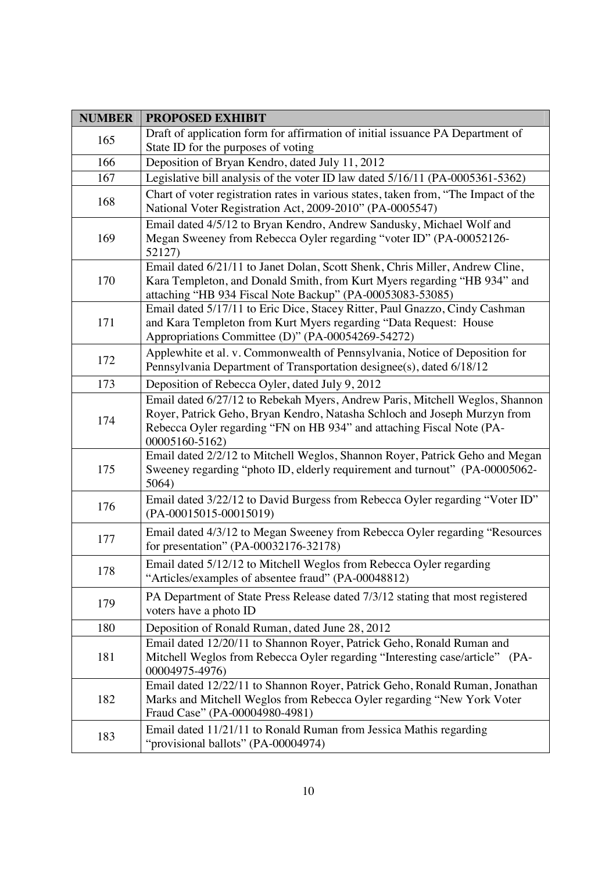| <b>NUMBER</b> | <b>PROPOSED EXHIBIT</b>                                                                                                                                                                                                                              |
|---------------|------------------------------------------------------------------------------------------------------------------------------------------------------------------------------------------------------------------------------------------------------|
| 165           | Draft of application form for affirmation of initial issuance PA Department of                                                                                                                                                                       |
|               | State ID for the purposes of voting                                                                                                                                                                                                                  |
| 166           | Deposition of Bryan Kendro, dated July 11, 2012                                                                                                                                                                                                      |
| 167           | Legislative bill analysis of the voter ID law dated 5/16/11 (PA-0005361-5362)                                                                                                                                                                        |
| 168           | Chart of voter registration rates in various states, taken from, "The Impact of the<br>National Voter Registration Act, 2009-2010" (PA-0005547)                                                                                                      |
| 169           | Email dated 4/5/12 to Bryan Kendro, Andrew Sandusky, Michael Wolf and<br>Megan Sweeney from Rebecca Oyler regarding "voter ID" (PA-00052126-<br>52127)                                                                                               |
| 170           | Email dated 6/21/11 to Janet Dolan, Scott Shenk, Chris Miller, Andrew Cline,<br>Kara Templeton, and Donald Smith, from Kurt Myers regarding "HB 934" and<br>attaching "HB 934 Fiscal Note Backup" (PA-00053083-53085)                                |
| 171           | Email dated 5/17/11 to Eric Dice, Stacey Ritter, Paul Gnazzo, Cindy Cashman<br>and Kara Templeton from Kurt Myers regarding "Data Request: House<br>Appropriations Committee (D)" (PA-00054269-54272)                                                |
| 172           | Applewhite et al. v. Commonwealth of Pennsylvania, Notice of Deposition for<br>Pennsylvania Department of Transportation designee(s), dated 6/18/12                                                                                                  |
| 173           | Deposition of Rebecca Oyler, dated July 9, 2012                                                                                                                                                                                                      |
| 174           | Email dated 6/27/12 to Rebekah Myers, Andrew Paris, Mitchell Weglos, Shannon<br>Royer, Patrick Geho, Bryan Kendro, Natasha Schloch and Joseph Murzyn from<br>Rebecca Oyler regarding "FN on HB 934" and attaching Fiscal Note (PA-<br>00005160-5162) |
| 175           | Email dated 2/2/12 to Mitchell Weglos, Shannon Royer, Patrick Geho and Megan<br>Sweeney regarding "photo ID, elderly requirement and turnout" (PA-00005062-<br>5064)                                                                                 |
| 176           | Email dated 3/22/12 to David Burgess from Rebecca Oyler regarding "Voter ID"<br>(PA-00015015-00015019)                                                                                                                                               |
| 177           | Email dated 4/3/12 to Megan Sweeney from Rebecca Oyler regarding "Resources<br>for presentation" (PA-00032176-32178)                                                                                                                                 |
| 178           | Email dated 5/12/12 to Mitchell Weglos from Rebecca Oyler regarding<br>"Articles/examples of absentee fraud" (PA-00048812)                                                                                                                           |
| 179           | PA Department of State Press Release dated 7/3/12 stating that most registered<br>voters have a photo ID                                                                                                                                             |
| 180           | Deposition of Ronald Ruman, dated June 28, 2012                                                                                                                                                                                                      |
| 181           | Email dated 12/20/11 to Shannon Royer, Patrick Geho, Ronald Ruman and<br>Mitchell Weglos from Rebecca Oyler regarding "Interesting case/article" (PA-<br>00004975-4976)                                                                              |
| 182           | Email dated 12/22/11 to Shannon Royer, Patrick Geho, Ronald Ruman, Jonathan<br>Marks and Mitchell Weglos from Rebecca Oyler regarding "New York Voter<br>Fraud Case" (PA-00004980-4981)                                                              |
| 183           | Email dated 11/21/11 to Ronald Ruman from Jessica Mathis regarding<br>"provisional ballots" (PA-00004974)                                                                                                                                            |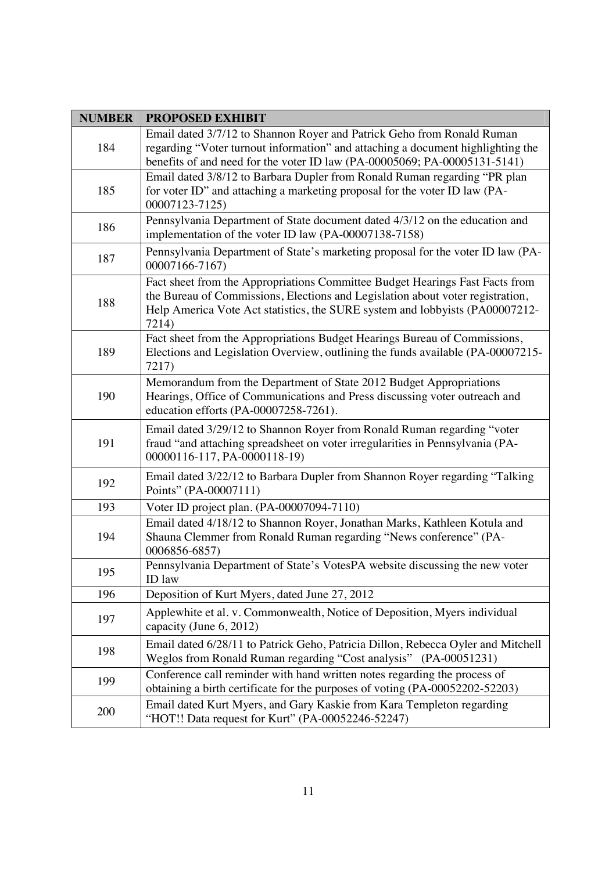| <b>NUMBER</b> | <b>PROPOSED EXHIBIT</b>                                                                                                                                                                                                                                 |
|---------------|---------------------------------------------------------------------------------------------------------------------------------------------------------------------------------------------------------------------------------------------------------|
| 184           | Email dated 3/7/12 to Shannon Royer and Patrick Geho from Ronald Ruman<br>regarding "Voter turnout information" and attaching a document highlighting the<br>benefits of and need for the voter ID law (PA-00005069; PA-00005131-5141)                  |
| 185           | Email dated 3/8/12 to Barbara Dupler from Ronald Ruman regarding "PR plan<br>for voter ID" and attaching a marketing proposal for the voter ID law (PA-<br>00007123-7125)                                                                               |
| 186           | Pennsylvania Department of State document dated 4/3/12 on the education and<br>implementation of the voter ID law (PA-00007138-7158)                                                                                                                    |
| 187           | Pennsylvania Department of State's marketing proposal for the voter ID law (PA-<br>00007166-7167)                                                                                                                                                       |
| 188           | Fact sheet from the Appropriations Committee Budget Hearings Fast Facts from<br>the Bureau of Commissions, Elections and Legislation about voter registration,<br>Help America Vote Act statistics, the SURE system and lobbyists (PA00007212-<br>7214) |
| 189           | Fact sheet from the Appropriations Budget Hearings Bureau of Commissions,<br>Elections and Legislation Overview, outlining the funds available (PA-00007215-<br>7217)                                                                                   |
| 190           | Memorandum from the Department of State 2012 Budget Appropriations<br>Hearings, Office of Communications and Press discussing voter outreach and<br>education efforts (PA-00007258-7261).                                                               |
| 191           | Email dated 3/29/12 to Shannon Royer from Ronald Ruman regarding "voter<br>fraud "and attaching spreadsheet on voter irregularities in Pennsylvania (PA-<br>00000116-117, PA-0000118-19)                                                                |
| 192           | Email dated 3/22/12 to Barbara Dupler from Shannon Royer regarding "Talking<br>Points" (PA-00007111)                                                                                                                                                    |
| 193           | Voter ID project plan. (PA-00007094-7110)                                                                                                                                                                                                               |
| 194           | Email dated 4/18/12 to Shannon Royer, Jonathan Marks, Kathleen Kotula and<br>Shauna Clemmer from Ronald Ruman regarding "News conference" (PA-<br>0006856-6857)                                                                                         |
| 195           | Pennsylvania Department of State's VotesPA website discussing the new voter<br>ID law                                                                                                                                                                   |
| 196           | Deposition of Kurt Myers, dated June 27, 2012                                                                                                                                                                                                           |
| 197           | Applewhite et al. v. Commonwealth, Notice of Deposition, Myers individual<br>capacity (June 6, 2012)                                                                                                                                                    |
| 198           | Email dated 6/28/11 to Patrick Geho, Patricia Dillon, Rebecca Oyler and Mitchell<br>Weglos from Ronald Ruman regarding "Cost analysis" (PA-00051231)                                                                                                    |
| 199           | Conference call reminder with hand written notes regarding the process of<br>obtaining a birth certificate for the purposes of voting (PA-00052202-52203)                                                                                               |
| 200           | Email dated Kurt Myers, and Gary Kaskie from Kara Templeton regarding<br>"HOT!! Data request for Kurt" (PA-00052246-52247)                                                                                                                              |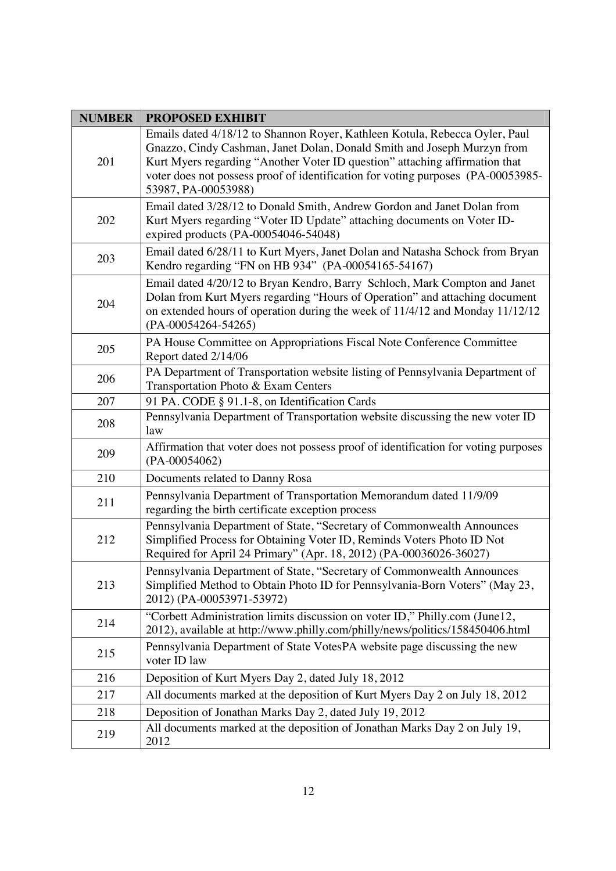| <b>NUMBER</b> | <b>PROPOSED EXHIBIT</b>                                                                                                                                                                                                                                                                                                                          |
|---------------|--------------------------------------------------------------------------------------------------------------------------------------------------------------------------------------------------------------------------------------------------------------------------------------------------------------------------------------------------|
| 201           | Emails dated 4/18/12 to Shannon Royer, Kathleen Kotula, Rebecca Oyler, Paul<br>Gnazzo, Cindy Cashman, Janet Dolan, Donald Smith and Joseph Murzyn from<br>Kurt Myers regarding "Another Voter ID question" attaching affirmation that<br>voter does not possess proof of identification for voting purposes (PA-00053985-<br>53987, PA-00053988) |
| 202           | Email dated 3/28/12 to Donald Smith, Andrew Gordon and Janet Dolan from<br>Kurt Myers regarding "Voter ID Update" attaching documents on Voter ID-<br>expired products (PA-00054046-54048)                                                                                                                                                       |
| 203           | Email dated 6/28/11 to Kurt Myers, Janet Dolan and Natasha Schock from Bryan<br>Kendro regarding "FN on HB 934" (PA-00054165-54167)                                                                                                                                                                                                              |
| 204           | Email dated 4/20/12 to Bryan Kendro, Barry Schloch, Mark Compton and Janet<br>Dolan from Kurt Myers regarding "Hours of Operation" and attaching document<br>on extended hours of operation during the week of 11/4/12 and Monday 11/12/12<br>(PA-00054264-54265)                                                                                |
| 205           | PA House Committee on Appropriations Fiscal Note Conference Committee<br>Report dated 2/14/06                                                                                                                                                                                                                                                    |
| 206           | PA Department of Transportation website listing of Pennsylvania Department of<br>Transportation Photo & Exam Centers                                                                                                                                                                                                                             |
| 207           | 91 PA. CODE § 91.1-8, on Identification Cards                                                                                                                                                                                                                                                                                                    |
| 208           | Pennsylvania Department of Transportation website discussing the new voter ID<br>law                                                                                                                                                                                                                                                             |
| 209           | Affirmation that voter does not possess proof of identification for voting purposes<br>$(PA-00054062)$                                                                                                                                                                                                                                           |
| 210           | Documents related to Danny Rosa                                                                                                                                                                                                                                                                                                                  |
| 211           | Pennsylvania Department of Transportation Memorandum dated 11/9/09<br>regarding the birth certificate exception process                                                                                                                                                                                                                          |
| 212           | Pennsylvania Department of State, "Secretary of Commonwealth Announces<br>Simplified Process for Obtaining Voter ID, Reminds Voters Photo ID Not<br>Required for April 24 Primary" (Apr. 18, 2012) (PA-00036026-36027)                                                                                                                           |
| 213           | Pennsylvania Department of State, "Secretary of Commonwealth Announces<br>Simplified Method to Obtain Photo ID for Pennsylvania-Born Voters" (May 23,<br>2012) (PA-00053971-53972)                                                                                                                                                               |
| 214           | "Corbett Administration limits discussion on voter ID," Philly.com (June12,<br>2012), available at http://www.philly.com/philly/news/politics/158450406.html                                                                                                                                                                                     |
| 215           | Pennsylvania Department of State VotesPA website page discussing the new<br>voter ID law                                                                                                                                                                                                                                                         |
| 216           | Deposition of Kurt Myers Day 2, dated July 18, 2012                                                                                                                                                                                                                                                                                              |
| 217           | All documents marked at the deposition of Kurt Myers Day 2 on July 18, 2012                                                                                                                                                                                                                                                                      |
| 218           | Deposition of Jonathan Marks Day 2, dated July 19, 2012                                                                                                                                                                                                                                                                                          |
| 219           | All documents marked at the deposition of Jonathan Marks Day 2 on July 19,<br>2012                                                                                                                                                                                                                                                               |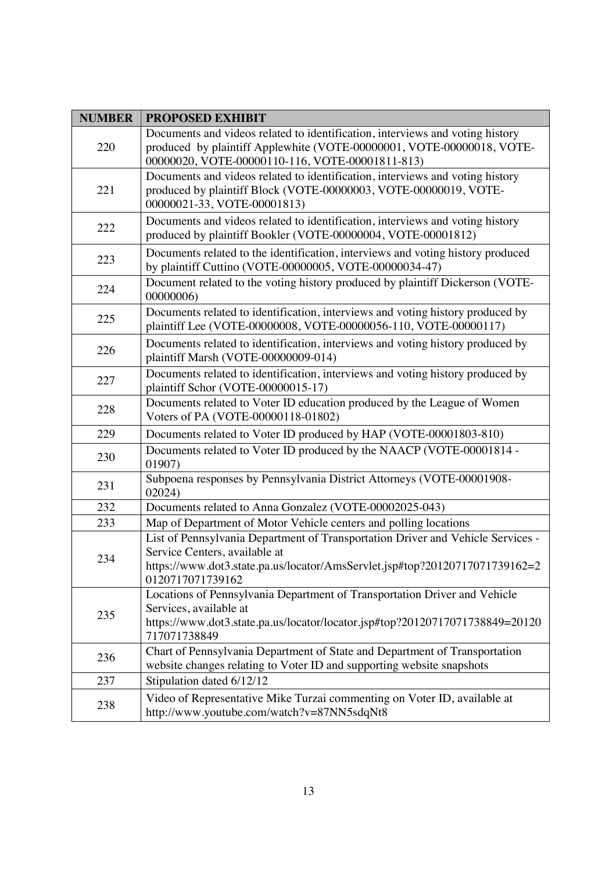| <b>NUMBER</b> | <b>PROPOSED EXHIBIT</b>                                                                                                                                                                                             |
|---------------|---------------------------------------------------------------------------------------------------------------------------------------------------------------------------------------------------------------------|
| 220           | Documents and videos related to identification, interviews and voting history<br>produced by plaintiff Applewhite (VOTE-00000001, VOTE-00000018, VOTE-<br>00000020, VOTE-00000110-116, VOTE-00001811-813)           |
| 221           | Documents and videos related to identification, interviews and voting history<br>produced by plaintiff Block (VOTE-00000003, VOTE-00000019, VOTE-<br>00000021-33, VOTE-00001813)                                    |
| 222           | Documents and videos related to identification, interviews and voting history<br>produced by plaintiff Bookler (VOTE-00000004, VOTE-00001812)                                                                       |
| 223           | Documents related to the identification, interviews and voting history produced<br>by plaintiff Cuttino (VOTE-00000005, VOTE-00000034-47)                                                                           |
| 224           | Document related to the voting history produced by plaintiff Dickerson (VOTE-<br>00000006)                                                                                                                          |
| 225           | Documents related to identification, interviews and voting history produced by<br>plaintiff Lee (VOTE-00000008, VOTE-00000056-110, VOTE-00000117)                                                                   |
| 226           | Documents related to identification, interviews and voting history produced by<br>plaintiff Marsh (VOTE-00000009-014)                                                                                               |
| 227           | Documents related to identification, interviews and voting history produced by<br>plaintiff Schor (VOTE-00000015-17)                                                                                                |
| 228           | Documents related to Voter ID education produced by the League of Women<br>Voters of PA (VOTE-00000118-01802)                                                                                                       |
| 229           | Documents related to Voter ID produced by HAP (VOTE-00001803-810)                                                                                                                                                   |
| 230           | Documents related to Voter ID produced by the NAACP (VOTE-00001814 -<br>01907)                                                                                                                                      |
| 231           | Subpoena responses by Pennsylvania District Attorneys (VOTE-00001908-<br>02024)                                                                                                                                     |
| 232           | Documents related to Anna Gonzalez (VOTE-00002025-043)                                                                                                                                                              |
| 233           | Map of Department of Motor Vehicle centers and polling locations                                                                                                                                                    |
| 234           | List of Pennsylvania Department of Transportation Driver and Vehicle Services -<br>Service Centers, available at<br>https://www.dot3.state.pa.us/locator/AmsServlet.jsp#top?20120717071739162=2<br>0120717071739162 |
| 235           | Locations of Pennsylvania Department of Transportation Driver and Vehicle<br>Services, available at<br>https://www.dot3.state.pa.us/locator/locator.jsp#top?20120717071738849=20120<br>717071738849                 |
| 236           | Chart of Pennsylvania Department of State and Department of Transportation<br>website changes relating to Voter ID and supporting website snapshots                                                                 |
| 237           | Stipulation dated 6/12/12                                                                                                                                                                                           |
| 238           | Video of Representative Mike Turzai commenting on Voter ID, available at<br>http://www.youtube.com/watch?v=87NN5sdqNt8                                                                                              |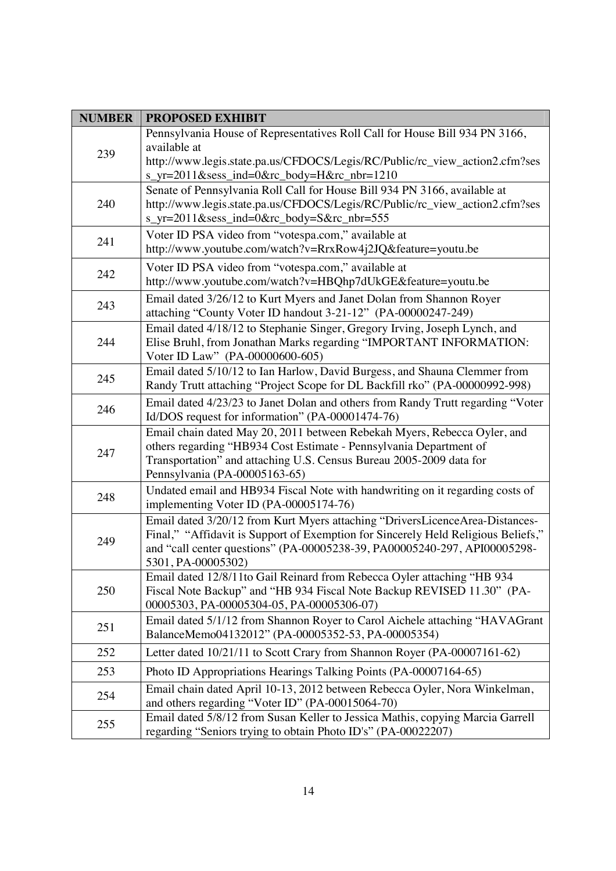| <b>NUMBER</b> | <b>PROPOSED EXHIBIT</b>                                                                                                                                                                                                                                              |
|---------------|----------------------------------------------------------------------------------------------------------------------------------------------------------------------------------------------------------------------------------------------------------------------|
| 239           | Pennsylvania House of Representatives Roll Call for House Bill 934 PN 3166,<br>available at                                                                                                                                                                          |
|               | http://www.legis.state.pa.us/CFDOCS/Legis/RC/Public/rc_view_action2.cfm?ses<br>s_yr=2011&sess_ind=0&rc_body=H&rc_nbr=1210                                                                                                                                            |
| 240           | Senate of Pennsylvania Roll Call for House Bill 934 PN 3166, available at<br>http://www.legis.state.pa.us/CFDOCS/Legis/RC/Public/rc_view_action2.cfm?ses<br>s_yr=2011&sess_ind=0&rc_body=S&rc_nbr=555                                                                |
| 241           | Voter ID PSA video from "votespa.com," available at<br>http://www.youtube.com/watch?v=RrxRow4j2JQ&feature=youtu.be                                                                                                                                                   |
| 242           | Voter ID PSA video from "votespa.com," available at<br>http://www.youtube.com/watch?v=HBQhp7dUkGE&feature=youtu.be                                                                                                                                                   |
| 243           | Email dated 3/26/12 to Kurt Myers and Janet Dolan from Shannon Royer<br>attaching "County Voter ID handout 3-21-12" (PA-00000247-249)                                                                                                                                |
| 244           | Email dated 4/18/12 to Stephanie Singer, Gregory Irving, Joseph Lynch, and<br>Elise Bruhl, from Jonathan Marks regarding "IMPORTANT INFORMATION:<br>Voter ID Law" (PA-00000600-605)                                                                                  |
| 245           | Email dated 5/10/12 to Ian Harlow, David Burgess, and Shauna Clemmer from<br>Randy Trutt attaching "Project Scope for DL Backfill rko" (PA-00000992-998)                                                                                                             |
| 246           | Email dated 4/23/23 to Janet Dolan and others from Randy Trutt regarding "Voter<br>Id/DOS request for information" (PA-00001474-76)                                                                                                                                  |
| 247           | Email chain dated May 20, 2011 between Rebekah Myers, Rebecca Oyler, and<br>others regarding "HB934 Cost Estimate - Pennsylvania Department of<br>Transportation" and attaching U.S. Census Bureau 2005-2009 data for<br>Pennsylvania (PA-00005163-65)               |
| 248           | Undated email and HB934 Fiscal Note with handwriting on it regarding costs of<br>implementing Voter ID (PA-00005174-76)                                                                                                                                              |
| 249           | Email dated 3/20/12 from Kurt Myers attaching "DriversLicenceArea-Distances-<br>Final," "Affidavit is Support of Exemption for Sincerely Held Religious Beliefs,"<br>and "call center questions" (PA-00005238-39, PA00005240-297, API00005298-<br>5301, PA-00005302) |
| 250           | Email dated 12/8/11to Gail Reinard from Rebecca Oyler attaching "HB 934<br>Fiscal Note Backup" and "HB 934 Fiscal Note Backup REVISED 11.30" (PA-<br>00005303, PA-00005304-05, PA-00005306-07)                                                                       |
| 251           | Email dated 5/1/12 from Shannon Royer to Carol Aichele attaching "HAVAGrant"<br>BalanceMemo04132012" (PA-00005352-53, PA-00005354)                                                                                                                                   |
| 252           | Letter dated 10/21/11 to Scott Crary from Shannon Royer (PA-00007161-62)                                                                                                                                                                                             |
| 253           | Photo ID Appropriations Hearings Talking Points (PA-00007164-65)                                                                                                                                                                                                     |
| 254           | Email chain dated April 10-13, 2012 between Rebecca Oyler, Nora Winkelman,<br>and others regarding "Voter ID" (PA-00015064-70)                                                                                                                                       |
| 255           | Email dated 5/8/12 from Susan Keller to Jessica Mathis, copying Marcia Garrell<br>regarding "Seniors trying to obtain Photo ID's" (PA-00022207)                                                                                                                      |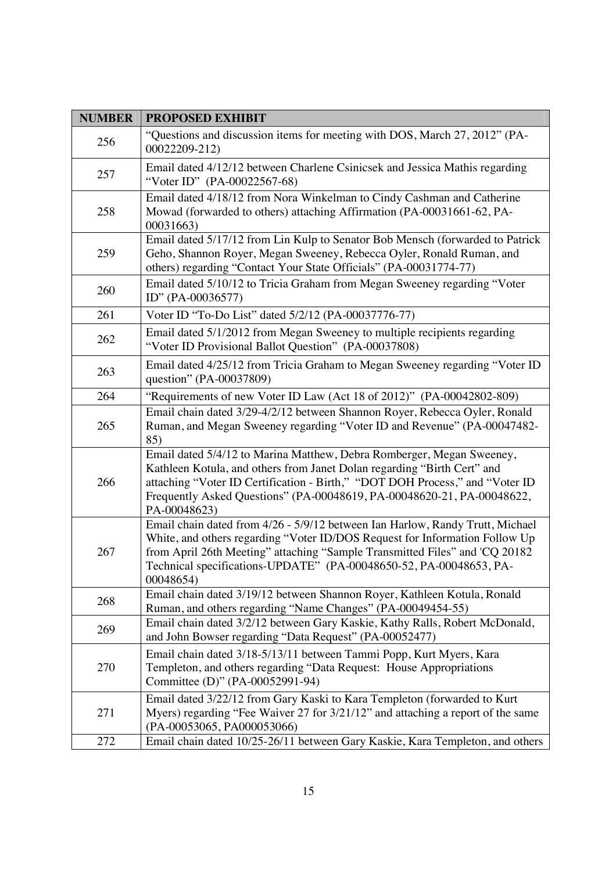| <b>NUMBER</b> | <b>PROPOSED EXHIBIT</b>                                                                                                                                                                                                                                                                                                        |
|---------------|--------------------------------------------------------------------------------------------------------------------------------------------------------------------------------------------------------------------------------------------------------------------------------------------------------------------------------|
| 256           | "Questions and discussion items for meeting with DOS, March 27, 2012" (PA-<br>00022209-212)                                                                                                                                                                                                                                    |
| 257           | Email dated 4/12/12 between Charlene Csinicsek and Jessica Mathis regarding<br>"Voter ID" (PA-00022567-68)                                                                                                                                                                                                                     |
| 258           | Email dated 4/18/12 from Nora Winkelman to Cindy Cashman and Catherine<br>Mowad (forwarded to others) attaching Affirmation (PA-00031661-62, PA-<br>00031663)                                                                                                                                                                  |
| 259           | Email dated 5/17/12 from Lin Kulp to Senator Bob Mensch (forwarded to Patrick<br>Geho, Shannon Royer, Megan Sweeney, Rebecca Oyler, Ronald Ruman, and<br>others) regarding "Contact Your State Officials" (PA-00031774-77)                                                                                                     |
| 260           | Email dated 5/10/12 to Tricia Graham from Megan Sweeney regarding "Voter<br>ID" (PA-00036577)                                                                                                                                                                                                                                  |
| 261           | Voter ID "To-Do List" dated 5/2/12 (PA-00037776-77)                                                                                                                                                                                                                                                                            |
| 262           | Email dated 5/1/2012 from Megan Sweeney to multiple recipients regarding<br>"Voter ID Provisional Ballot Question" (PA-00037808)                                                                                                                                                                                               |
| 263           | Email dated 4/25/12 from Tricia Graham to Megan Sweeney regarding "Voter ID<br>question" (PA-00037809)                                                                                                                                                                                                                         |
| 264           | "Requirements of new Voter ID Law (Act 18 of 2012)" (PA-00042802-809)                                                                                                                                                                                                                                                          |
| 265           | Email chain dated 3/29-4/2/12 between Shannon Royer, Rebecca Oyler, Ronald<br>Ruman, and Megan Sweeney regarding "Voter ID and Revenue" (PA-00047482-<br>85)                                                                                                                                                                   |
| 266           | Email dated 5/4/12 to Marina Matthew, Debra Romberger, Megan Sweeney,<br>Kathleen Kotula, and others from Janet Dolan regarding "Birth Cert" and<br>attaching "Voter ID Certification - Birth," "DOT DOH Process," and "Voter ID<br>Frequently Asked Questions" (PA-00048619, PA-00048620-21, PA-00048622,<br>PA-00048623)     |
| 267           | Email chain dated from 4/26 - 5/9/12 between Ian Harlow, Randy Trutt, Michael<br>White, and others regarding "Voter ID/DOS Request for Information Follow Up<br>from April 26th Meeting" attaching "Sample Transmitted Files" and 'CQ 20182<br>Technical specifications-UPDATE" (PA-00048650-52, PA-00048653, PA-<br>00048654) |
| 268           | Email chain dated 3/19/12 between Shannon Royer, Kathleen Kotula, Ronald<br>Ruman, and others regarding "Name Changes" (PA-00049454-55)                                                                                                                                                                                        |
| 269           | Email chain dated 3/2/12 between Gary Kaskie, Kathy Ralls, Robert McDonald,<br>and John Bowser regarding "Data Request" (PA-00052477)                                                                                                                                                                                          |
| 270           | Email chain dated 3/18-5/13/11 between Tammi Popp, Kurt Myers, Kara<br>Templeton, and others regarding "Data Request: House Appropriations<br>Committee (D)" (PA-00052991-94)                                                                                                                                                  |
| 271           | Email dated 3/22/12 from Gary Kaski to Kara Templeton (forwarded to Kurt<br>Myers) regarding "Fee Waiver 27 for 3/21/12" and attaching a report of the same<br>(PA-00053065, PA000053066)                                                                                                                                      |
| 272           | Email chain dated 10/25-26/11 between Gary Kaskie, Kara Templeton, and others                                                                                                                                                                                                                                                  |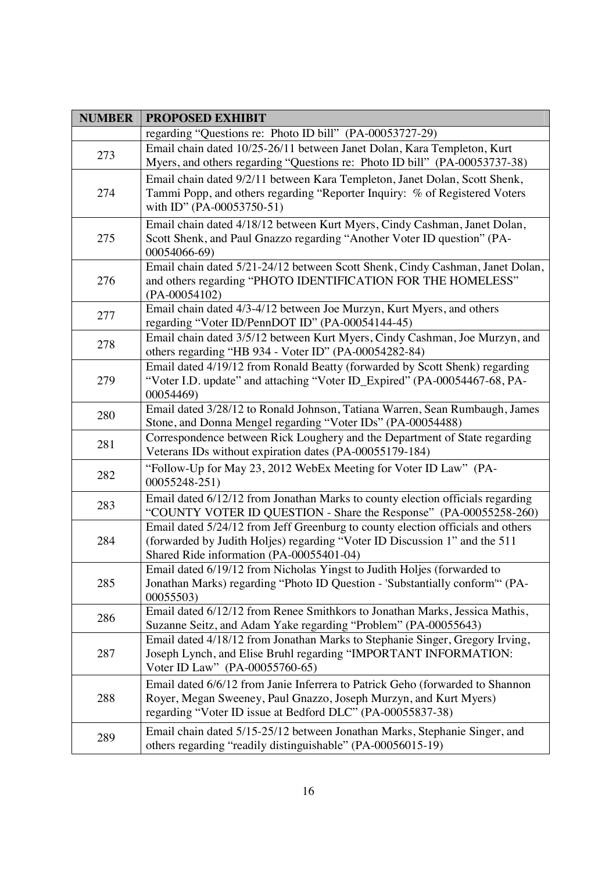| <b>NUMBER</b> | <b>PROPOSED EXHIBIT</b>                                                                                                                                                                                          |
|---------------|------------------------------------------------------------------------------------------------------------------------------------------------------------------------------------------------------------------|
|               | regarding "Questions re: Photo ID bill" (PA-00053727-29)                                                                                                                                                         |
| 273           | Email chain dated 10/25-26/11 between Janet Dolan, Kara Templeton, Kurt<br>Myers, and others regarding "Questions re: Photo ID bill" (PA-00053737-38)                                                            |
| 274           | Email chain dated 9/2/11 between Kara Templeton, Janet Dolan, Scott Shenk,<br>Tammi Popp, and others regarding "Reporter Inquiry: % of Registered Voters<br>with ID" (PA-00053750-51)                            |
| 275           | Email chain dated 4/18/12 between Kurt Myers, Cindy Cashman, Janet Dolan,<br>Scott Shenk, and Paul Gnazzo regarding "Another Voter ID question" (PA-<br>00054066-69)                                             |
| 276           | Email chain dated 5/21-24/12 between Scott Shenk, Cindy Cashman, Janet Dolan,<br>and others regarding "PHOTO IDENTIFICATION FOR THE HOMELESS"<br>$(PA-00054102)$                                                 |
| 277           | Email chain dated 4/3-4/12 between Joe Murzyn, Kurt Myers, and others<br>regarding "Voter ID/PennDOT ID" (PA-00054144-45)                                                                                        |
| 278           | Email chain dated 3/5/12 between Kurt Myers, Cindy Cashman, Joe Murzyn, and<br>others regarding "HB 934 - Voter ID" (PA-00054282-84)                                                                             |
| 279           | Email dated 4/19/12 from Ronald Beatty (forwarded by Scott Shenk) regarding<br>"Voter I.D. update" and attaching "Voter ID_Expired" (PA-00054467-68, PA-<br>00054469)                                            |
| 280           | Email dated 3/28/12 to Ronald Johnson, Tatiana Warren, Sean Rumbaugh, James<br>Stone, and Donna Mengel regarding "Voter IDs" (PA-00054488)                                                                       |
| 281           | Correspondence between Rick Loughery and the Department of State regarding<br>Veterans IDs without expiration dates (PA-00055179-184)                                                                            |
| 282           | "Follow-Up for May 23, 2012 WebEx Meeting for Voter ID Law" (PA-<br>00055248-251)                                                                                                                                |
| 283           | Email dated 6/12/12 from Jonathan Marks to county election officials regarding<br>"COUNTY VOTER ID QUESTION - Share the Response" (PA-00055258-260)                                                              |
| 284           | Email dated 5/24/12 from Jeff Greenburg to county election officials and others<br>(forwarded by Judith Holjes) regarding "Voter ID Discussion 1" and the 511<br>Shared Ride information (PA-00055401-04)        |
| 285           | Email dated 6/19/12 from Nicholas Yingst to Judith Holjes (forwarded to<br>Jonathan Marks) regarding "Photo ID Question - 'Substantially conform" (PA-<br>00055503)                                              |
| 286           | Email dated 6/12/12 from Renee Smithkors to Jonathan Marks, Jessica Mathis,<br>Suzanne Seitz, and Adam Yake regarding "Problem" (PA-00055643)                                                                    |
| 287           | Email dated 4/18/12 from Jonathan Marks to Stephanie Singer, Gregory Irving,<br>Joseph Lynch, and Elise Bruhl regarding "IMPORTANT INFORMATION:<br>Voter ID Law" (PA-00055760-65)                                |
| 288           | Email dated 6/6/12 from Janie Inferrera to Patrick Geho (forwarded to Shannon<br>Royer, Megan Sweeney, Paul Gnazzo, Joseph Murzyn, and Kurt Myers)<br>regarding "Voter ID issue at Bedford DLC" (PA-00055837-38) |
| 289           | Email chain dated 5/15-25/12 between Jonathan Marks, Stephanie Singer, and<br>others regarding "readily distinguishable" (PA-00056015-19)                                                                        |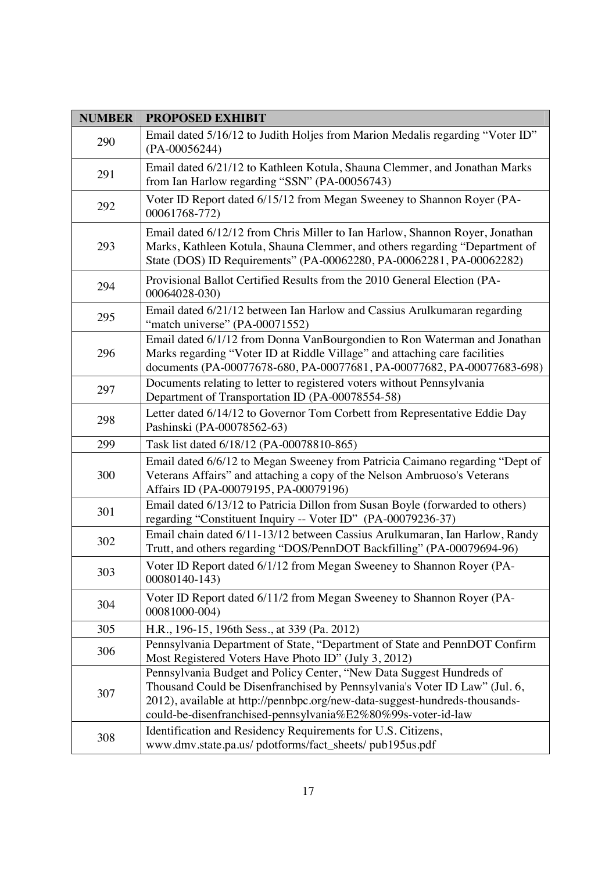| <b>NUMBER</b> | <b>PROPOSED EXHIBIT</b>                                                                                                                                                                                                                                                                           |
|---------------|---------------------------------------------------------------------------------------------------------------------------------------------------------------------------------------------------------------------------------------------------------------------------------------------------|
| 290           | Email dated 5/16/12 to Judith Holjes from Marion Medalis regarding "Voter ID"<br>$(PA-00056244)$                                                                                                                                                                                                  |
| 291           | Email dated 6/21/12 to Kathleen Kotula, Shauna Clemmer, and Jonathan Marks<br>from Ian Harlow regarding "SSN" (PA-00056743)                                                                                                                                                                       |
| 292           | Voter ID Report dated 6/15/12 from Megan Sweeney to Shannon Royer (PA-<br>00061768-772)                                                                                                                                                                                                           |
| 293           | Email dated 6/12/12 from Chris Miller to Ian Harlow, Shannon Royer, Jonathan<br>Marks, Kathleen Kotula, Shauna Clemmer, and others regarding "Department of<br>State (DOS) ID Requirements" (PA-00062280, PA-00062281, PA-00062282)                                                               |
| 294           | Provisional Ballot Certified Results from the 2010 General Election (PA-<br>00064028-030)                                                                                                                                                                                                         |
| 295           | Email dated 6/21/12 between Ian Harlow and Cassius Arulkumaran regarding<br>"match universe" (PA-00071552)                                                                                                                                                                                        |
| 296           | Email dated 6/1/12 from Donna VanBourgondien to Ron Waterman and Jonathan<br>Marks regarding "Voter ID at Riddle Village" and attaching care facilities<br>documents (PA-00077678-680, PA-00077681, PA-00077682, PA-00077683-698)                                                                 |
| 297           | Documents relating to letter to registered voters without Pennsylvania<br>Department of Transportation ID (PA-00078554-58)                                                                                                                                                                        |
| 298           | Letter dated 6/14/12 to Governor Tom Corbett from Representative Eddie Day<br>Pashinski (PA-00078562-63)                                                                                                                                                                                          |
| 299           | Task list dated 6/18/12 (PA-00078810-865)                                                                                                                                                                                                                                                         |
| 300           | Email dated 6/6/12 to Megan Sweeney from Patricia Caimano regarding "Dept of<br>Veterans Affairs" and attaching a copy of the Nelson Ambruoso's Veterans<br>Affairs ID (PA-00079195, PA-00079196)                                                                                                 |
| 301           | Email dated 6/13/12 to Patricia Dillon from Susan Boyle (forwarded to others)<br>regarding "Constituent Inquiry -- Voter ID" (PA-00079236-37)                                                                                                                                                     |
| 302           | Email chain dated 6/11-13/12 between Cassius Arulkumaran, Ian Harlow, Randy<br>Trutt, and others regarding "DOS/PennDOT Backfilling" (PA-00079694-96)                                                                                                                                             |
| 303           | Voter ID Report dated 6/1/12 from Megan Sweeney to Shannon Royer (PA-<br>00080140-143)                                                                                                                                                                                                            |
| 304           | Voter ID Report dated 6/11/2 from Megan Sweeney to Shannon Royer (PA-<br>00081000-004)                                                                                                                                                                                                            |
| 305           | H.R., 196-15, 196th Sess., at 339 (Pa. 2012)                                                                                                                                                                                                                                                      |
| 306           | Pennsylvania Department of State, "Department of State and PennDOT Confirm<br>Most Registered Voters Have Photo ID" (July 3, 2012)                                                                                                                                                                |
| 307           | Pennsylvania Budget and Policy Center, "New Data Suggest Hundreds of<br>Thousand Could be Disenfranchised by Pennsylvania's Voter ID Law" (Jul. 6,<br>2012), available at http://pennbpc.org/new-data-suggest-hundreds-thousands-<br>could-be-disenfranchised-pennsylvania%E2%80%99s-voter-id-law |
| 308           | Identification and Residency Requirements for U.S. Citizens,<br>www.dmv.state.pa.us/ pdotforms/fact_sheets/ pub195us.pdf                                                                                                                                                                          |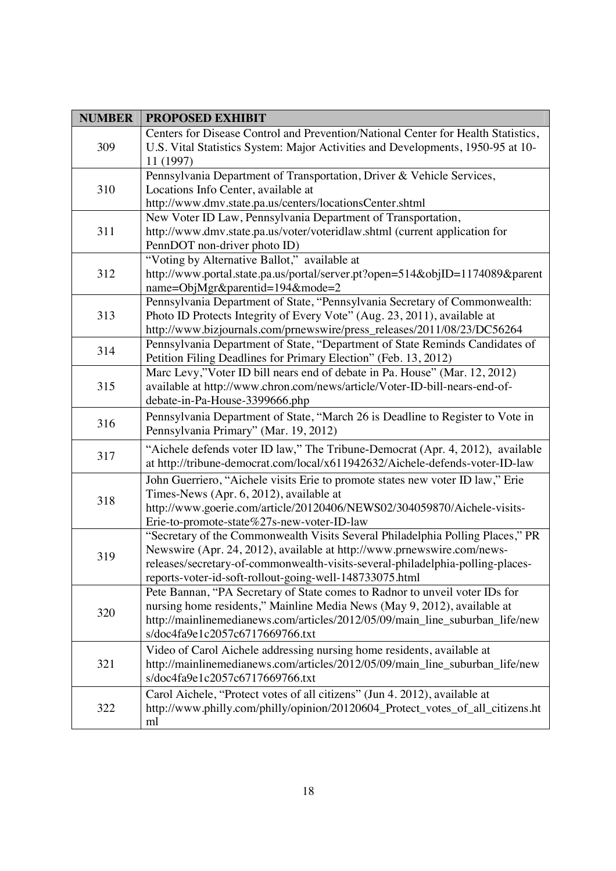| <b>NUMBER</b> | <b>PROPOSED EXHIBIT</b>                                                                                                                                                                                                                                                                               |
|---------------|-------------------------------------------------------------------------------------------------------------------------------------------------------------------------------------------------------------------------------------------------------------------------------------------------------|
| 309           | Centers for Disease Control and Prevention/National Center for Health Statistics,<br>U.S. Vital Statistics System: Major Activities and Developments, 1950-95 at 10-<br>11 (1997)                                                                                                                     |
| 310           | Pennsylvania Department of Transportation, Driver & Vehicle Services,<br>Locations Info Center, available at<br>http://www.dmv.state.pa.us/centers/locationsCenter.shtml                                                                                                                              |
| 311           | New Voter ID Law, Pennsylvania Department of Transportation,<br>http://www.dmv.state.pa.us/voter/voteridlaw.shtml (current application for<br>PennDOT non-driver photo ID)                                                                                                                            |
| 312           | "Voting by Alternative Ballot," available at<br>http://www.portal.state.pa.us/portal/server.pt?open=514&objID=1174089&parent<br>name=ObjMgr&parentid=194&mode=2                                                                                                                                       |
| 313           | Pennsylvania Department of State, "Pennsylvania Secretary of Commonwealth:<br>Photo ID Protects Integrity of Every Vote" (Aug. 23, 2011), available at<br>http://www.bizjournals.com/prnewswire/press_releases/2011/08/23/DC56264                                                                     |
| 314           | Pennsylvania Department of State, "Department of State Reminds Candidates of<br>Petition Filing Deadlines for Primary Election" (Feb. 13, 2012)                                                                                                                                                       |
| 315           | Marc Levy,"Voter ID bill nears end of debate in Pa. House" (Mar. 12, 2012)<br>available at http://www.chron.com/news/article/Voter-ID-bill-nears-end-of-<br>debate-in-Pa-House-3399666.php                                                                                                            |
| 316           | Pennsylvania Department of State, "March 26 is Deadline to Register to Vote in<br>Pennsylvania Primary" (Mar. 19, 2012)                                                                                                                                                                               |
| 317           | "Aichele defends voter ID law," The Tribune-Democrat (Apr. 4, 2012), available<br>at http://tribune-democrat.com/local/x611942632/Aichele-defends-voter-ID-law                                                                                                                                        |
| 318           | John Guerriero, "Aichele visits Erie to promote states new voter ID law," Erie<br>Times-News (Apr. 6, 2012), available at<br>http://www.goerie.com/article/20120406/NEWS02/304059870/Aichele-visits-<br>Erie-to-promote-state%27s-new-voter-ID-law                                                    |
| 319           | "Secretary of the Commonwealth Visits Several Philadelphia Polling Places," PR<br>Newswire (Apr. 24, 2012), available at http://www.prnewswire.com/news-<br>releases/secretary-of-commonwealth-visits-several-philadelphia-polling-places-<br>reports-voter-id-soft-rollout-going-well-148733075.html |
| 320           | Pete Bannan, "PA Secretary of State comes to Radnor to unveil voter IDs for<br>nursing home residents," Mainline Media News (May 9, 2012), available at<br>http://mainlinemedianews.com/articles/2012/05/09/main_line_suburban_life/new<br>s/doc4fa9e1c2057c6717669766.txt                            |
| 321           | Video of Carol Aichele addressing nursing home residents, available at<br>http://mainlinemedianews.com/articles/2012/05/09/main_line_suburban_life/new<br>s/doc4fa9e1c2057c6717669766.txt                                                                                                             |
| 322           | Carol Aichele, "Protect votes of all citizens" (Jun 4. 2012), available at<br>http://www.philly.com/philly/opinion/20120604_Protect_votes_of_all_citizens.ht<br>ml                                                                                                                                    |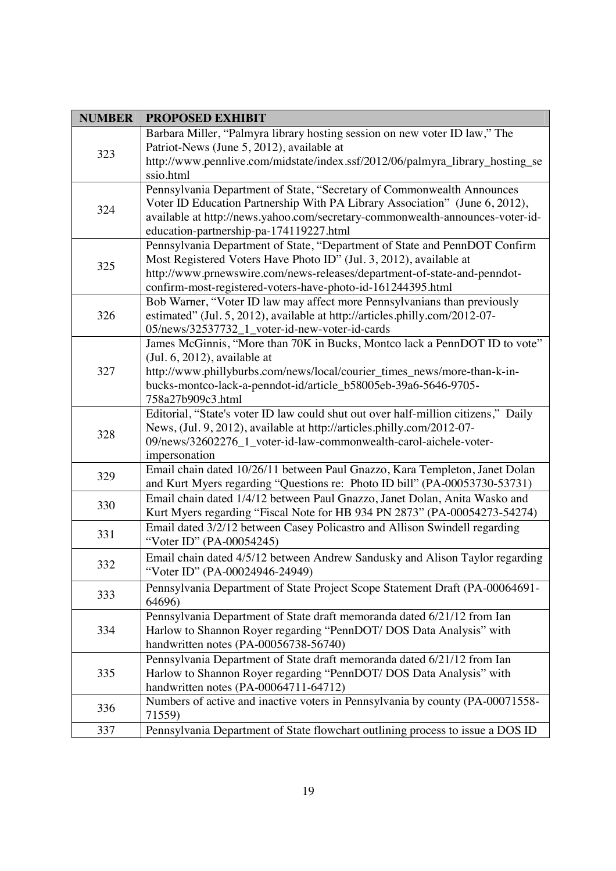| <b>NUMBER</b> | <b>PROPOSED EXHIBIT</b>                                                                      |
|---------------|----------------------------------------------------------------------------------------------|
| 323           | Barbara Miller, "Palmyra library hosting session on new voter ID law," The                   |
|               | Patriot-News (June 5, 2012), available at                                                    |
|               | http://www.pennlive.com/midstate/index.ssf/2012/06/palmyra_library_hosting_se                |
|               | ssio.html                                                                                    |
|               | Pennsylvania Department of State, "Secretary of Commonwealth Announces                       |
| 324           | Voter ID Education Partnership With PA Library Association" (June 6, 2012),                  |
|               | available at http://news.yahoo.com/secretary-commonwealth-announces-voter-id-                |
|               | education-partnership-pa-174119227.html                                                      |
|               | Pennsylvania Department of State, "Department of State and PennDOT Confirm                   |
| 325           | Most Registered Voters Have Photo ID" (Jul. 3, 2012), available at                           |
|               | http://www.prnewswire.com/news-releases/department-of-state-and-penndot-                     |
|               | confirm-most-registered-voters-have-photo-id-161244395.html                                  |
|               | Bob Warner, "Voter ID law may affect more Pennsylvanians than previously                     |
| 326           | estimated" (Jul. 5, 2012), available at http://articles.philly.com/2012-07-                  |
|               | 05/news/32537732_1_voter-id-new-voter-id-cards                                               |
|               | James McGinnis, "More than 70K in Bucks, Montco lack a PennDOT ID to vote"                   |
|               | $($ Jul. $6, 2012)$ , available at                                                           |
| 327           | http://www.phillyburbs.com/news/local/courier_times_news/more-than-k-in-                     |
|               | bucks-montco-lack-a-penndot-id/article_b58005eb-39a6-5646-9705-                              |
|               | 758a27b909c3.html                                                                            |
|               | Editorial, "State's voter ID law could shut out over half-million citizens," Daily           |
| 328           | News, (Jul. 9, 2012), available at http://articles.philly.com/2012-07-                       |
|               | 09/news/32602276_1_voter-id-law-commonwealth-carol-aichele-voter-                            |
|               | impersonation<br>Email chain dated 10/26/11 between Paul Gnazzo, Kara Templeton, Janet Dolan |
| 329           | and Kurt Myers regarding "Questions re: Photo ID bill" (PA-00053730-53731)                   |
|               | Email chain dated 1/4/12 between Paul Gnazzo, Janet Dolan, Anita Wasko and                   |
| 330           | Kurt Myers regarding "Fiscal Note for HB 934 PN 2873" (PA-00054273-54274)                    |
|               | Email dated 3/2/12 between Casey Policastro and Allison Swindell regarding                   |
| 331           | "Voter ID" (PA-00054245)                                                                     |
|               |                                                                                              |
| 332           | Email chain dated 4/5/12 between Andrew Sandusky and Alison Taylor regarding                 |
|               | "Voter ID" (PA-00024946-24949)                                                               |
| 333           | Pennsylvania Department of State Project Scope Statement Draft (PA-00064691-                 |
|               | 64696)                                                                                       |
| 334           | Pennsylvania Department of State draft memoranda dated 6/21/12 from Ian                      |
|               | Harlow to Shannon Royer regarding "PennDOT/ DOS Data Analysis" with                          |
|               | handwritten notes (PA-00056738-56740)                                                        |
| 335           | Pennsylvania Department of State draft memoranda dated 6/21/12 from Ian                      |
|               | Harlow to Shannon Royer regarding "PennDOT/ DOS Data Analysis" with                          |
|               | handwritten notes (PA-00064711-64712)                                                        |
| 336           | Numbers of active and inactive voters in Pennsylvania by county (PA-00071558-                |
|               | 71559)                                                                                       |
| 337           | Pennsylvania Department of State flowchart outlining process to issue a DOS ID               |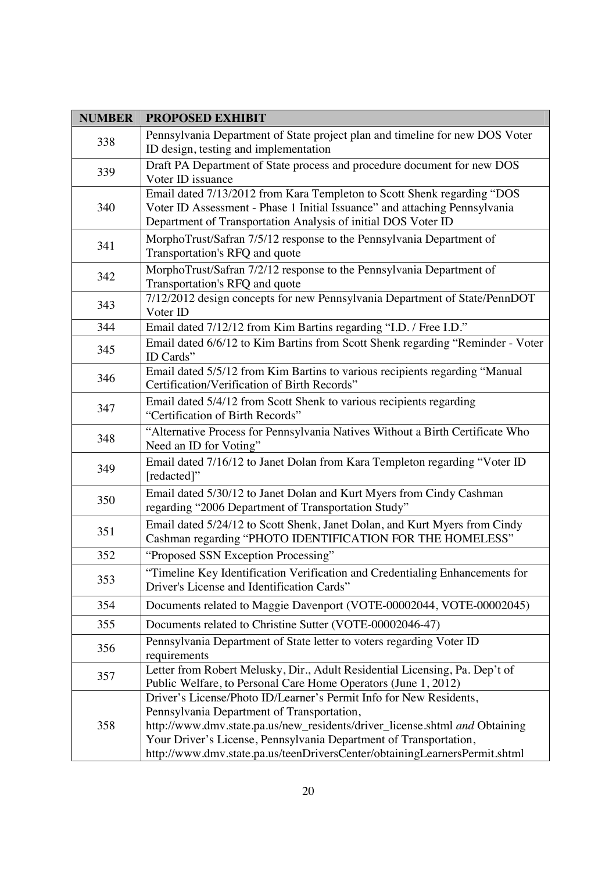| <b>NUMBER</b> | <b>PROPOSED EXHIBIT</b>                                                                                                                                                                                                                                                                                                                            |
|---------------|----------------------------------------------------------------------------------------------------------------------------------------------------------------------------------------------------------------------------------------------------------------------------------------------------------------------------------------------------|
| 338           | Pennsylvania Department of State project plan and timeline for new DOS Voter<br>ID design, testing and implementation                                                                                                                                                                                                                              |
| 339           | Draft PA Department of State process and procedure document for new DOS<br>Voter ID issuance                                                                                                                                                                                                                                                       |
| 340           | Email dated 7/13/2012 from Kara Templeton to Scott Shenk regarding "DOS<br>Voter ID Assessment - Phase 1 Initial Issuance" and attaching Pennsylvania<br>Department of Transportation Analysis of initial DOS Voter ID                                                                                                                             |
| 341           | MorphoTrust/Safran 7/5/12 response to the Pennsylvania Department of<br>Transportation's RFQ and quote                                                                                                                                                                                                                                             |
| 342           | MorphoTrust/Safran 7/2/12 response to the Pennsylvania Department of<br>Transportation's RFQ and quote                                                                                                                                                                                                                                             |
| 343           | 7/12/2012 design concepts for new Pennsylvania Department of State/PennDOT<br>Voter ID                                                                                                                                                                                                                                                             |
| 344           | Email dated 7/12/12 from Kim Bartins regarding "I.D. / Free I.D."                                                                                                                                                                                                                                                                                  |
| 345           | Email dated 6/6/12 to Kim Bartins from Scott Shenk regarding "Reminder - Voter<br>ID Cards"                                                                                                                                                                                                                                                        |
| 346           | Email dated 5/5/12 from Kim Bartins to various recipients regarding "Manual<br>Certification/Verification of Birth Records"                                                                                                                                                                                                                        |
| 347           | Email dated 5/4/12 from Scott Shenk to various recipients regarding<br>"Certification of Birth Records"                                                                                                                                                                                                                                            |
| 348           | "Alternative Process for Pennsylvania Natives Without a Birth Certificate Who<br>Need an ID for Voting"                                                                                                                                                                                                                                            |
| 349           | Email dated 7/16/12 to Janet Dolan from Kara Templeton regarding "Voter ID<br>[redacted]"                                                                                                                                                                                                                                                          |
| 350           | Email dated 5/30/12 to Janet Dolan and Kurt Myers from Cindy Cashman<br>regarding "2006 Department of Transportation Study"                                                                                                                                                                                                                        |
| 351           | Email dated 5/24/12 to Scott Shenk, Janet Dolan, and Kurt Myers from Cindy<br>Cashman regarding "PHOTO IDENTIFICATION FOR THE HOMELESS"                                                                                                                                                                                                            |
| 352           | "Proposed SSN Exception Processing"                                                                                                                                                                                                                                                                                                                |
| 353           | "Timeline Key Identification Verification and Credentialing Enhancements for<br>Driver's License and Identification Cards"                                                                                                                                                                                                                         |
| 354           | Documents related to Maggie Davenport (VOTE-00002044, VOTE-00002045)                                                                                                                                                                                                                                                                               |
| 355           | Documents related to Christine Sutter (VOTE-00002046-47)                                                                                                                                                                                                                                                                                           |
| 356           | Pennsylvania Department of State letter to voters regarding Voter ID<br>requirements                                                                                                                                                                                                                                                               |
| 357           | Letter from Robert Melusky, Dir., Adult Residential Licensing, Pa. Dep't of<br>Public Welfare, to Personal Care Home Operators (June 1, 2012)                                                                                                                                                                                                      |
| 358           | Driver's License/Photo ID/Learner's Permit Info for New Residents,<br>Pennsylvania Department of Transportation,<br>http://www.dmv.state.pa.us/new_residents/driver_license.shtml and Obtaining<br>Your Driver's License, Pennsylvania Department of Transportation,<br>http://www.dmv.state.pa.us/teenDriversCenter/obtainingLearnersPermit.shtml |